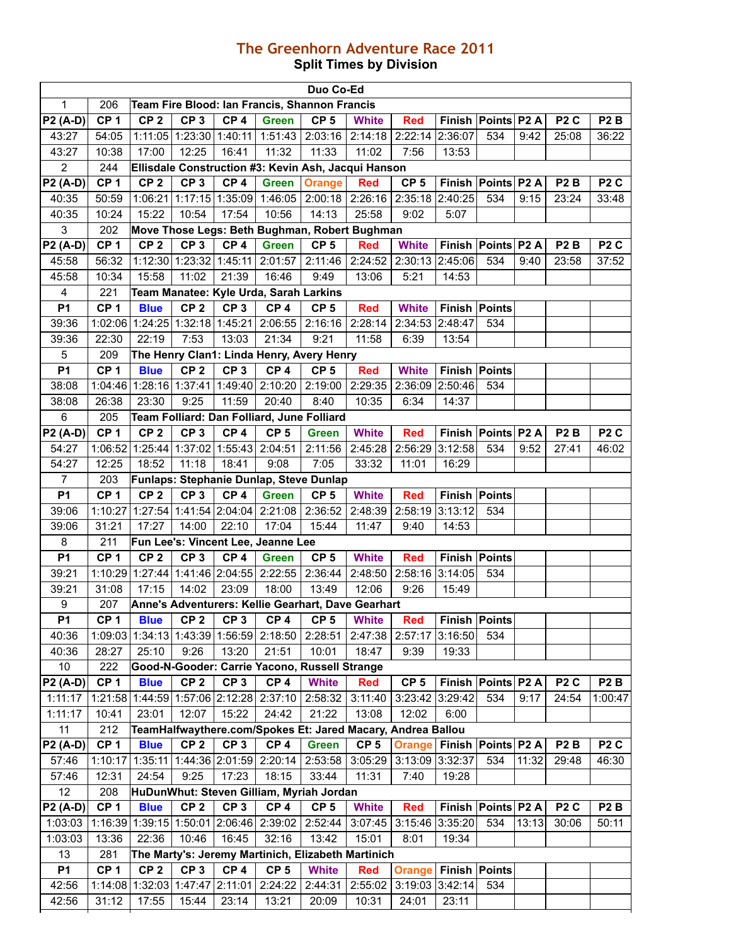## **The Greenhorn Adventure Race 2011 Split Times by Division**

|                  |                 |                                 |                             |                 |                                               | Duo Co-Ed           |                                                             |                             |                      |                      |       |                  |                  |
|------------------|-----------------|---------------------------------|-----------------------------|-----------------|-----------------------------------------------|---------------------|-------------------------------------------------------------|-----------------------------|----------------------|----------------------|-------|------------------|------------------|
| $\mathbf{1}$     | 206             |                                 |                             |                 | Team Fire Blood: Ian Francis, Shannon Francis |                     |                                                             |                             |                      |                      |       |                  |                  |
| P2 (A-D)         | CP <sub>1</sub> | CP <sub>2</sub>                 | CP <sub>3</sub>             | CP <sub>4</sub> | <b>Green</b>                                  | CP <sub>5</sub>     | <b>White</b>                                                | <b>Red</b>                  |                      | Finish Points P2 A   |       | P <sub>2</sub> C | P <sub>2</sub> B |
| 43:27            | 54:05           |                                 | 1:11:05   1:23:30   1:40:11 |                 |                                               | $1:51:43$   2:03:16 | 2:14:18                                                     | 2:22:14 2:36:07             |                      | 534                  | 9:42  | 25:08            | 36:22            |
| 43:27            | 10:38           | 17:00                           | 12:25                       | 16:41           | 11:32                                         | 11:33               | 11:02                                                       | 7:56                        | 13:53                |                      |       |                  |                  |
| $\overline{2}$   | 244             |                                 |                             |                 |                                               |                     | Ellisdale Construction #3: Kevin Ash, Jacqui Hanson         |                             |                      |                      |       |                  |                  |
| <b>P2 (A-D)</b>  | CP <sub>1</sub> | CP <sub>2</sub>                 | CP <sub>3</sub>             | CP <sub>4</sub> | <b>Green</b>                                  | <b>Orange</b>       | <b>Red</b>                                                  | CP <sub>5</sub>             |                      | Finish Points P2 A   |       | P <sub>2</sub> B | P <sub>2</sub> C |
| 40:35            | 50:59           | 1:06:21                         | 1:17:15 1:35:09             |                 | 1:46:05                                       |                     | 2:00:18 2:26:16                                             | 2:35:18 2:40:25             |                      | 534                  | 9:15  | 23:24            | 33:48            |
| 40:35            | 10:24           | 15:22                           | 10:54                       | 17:54           | 10:56                                         | 14:13               | 25:58                                                       | 9:02                        | 5:07                 |                      |       |                  |                  |
| 3                | 202             |                                 |                             |                 |                                               |                     | Move Those Legs: Beth Bughman, Robert Bughman               |                             |                      |                      |       |                  |                  |
| P2 (A-D)         | CP <sub>1</sub> | CP <sub>2</sub>                 | CP <sub>3</sub>             | CP <sub>4</sub> | <b>Green</b>                                  | CP <sub>5</sub>     | <b>Red</b>                                                  | <b>White</b>                |                      | Finish Points P2 A   |       | P <sub>2</sub> B | P <sub>2</sub> C |
| 45:58            | 56:32           |                                 | 1:12:30 1:23:32 1:45:11     |                 | 2:01:57                                       | 2:11:46             | 2:24:52                                                     | 2:30:13 2:45:06             |                      | 534                  | 9:40  | 23:58            | 37:52            |
| 45:58            | 10:34           | 15:58                           | 11:02                       | 21:39           | 16:46                                         | 9:49                | 13:06                                                       | 5:21                        | 14:53                |                      |       |                  |                  |
| $\overline{4}$   | 221             |                                 |                             |                 | Team Manatee: Kyle Urda, Sarah Larkins        |                     |                                                             |                             |                      |                      |       |                  |                  |
| <b>P1</b>        | CP <sub>1</sub> | <b>Blue</b>                     | CP <sub>2</sub>             | CP <sub>3</sub> | CP <sub>4</sub>                               | CP <sub>5</sub>     | <b>Red</b>                                                  | <b>White</b>                | Finish Points        |                      |       |                  |                  |
| 39:36            |                 | 1:02:06 1:24:25 1:32:18 1:45:21 |                             |                 | 2:06:55                                       | 2:16:16             | 2:28:14                                                     | 2:34:53 2:48:47             |                      | 534                  |       |                  |                  |
| 39:36            | 22:30           | 22:19                           | 7:53                        | 13:03           | 21:34                                         | 9:21                | 11:58                                                       | 6:39                        | 13:54                |                      |       |                  |                  |
| 5                | 209             |                                 |                             |                 | The Henry Clan1: Linda Henry, Avery Henry     |                     |                                                             |                             |                      |                      |       |                  |                  |
| <b>P1</b>        | CP <sub>1</sub> | <b>Blue</b>                     | CP <sub>2</sub>             | CP <sub>3</sub> | CP <sub>4</sub>                               | CP <sub>5</sub>     | <b>Red</b>                                                  | <b>White</b>                | <b>Finish Points</b> |                      |       |                  |                  |
| 38:08            |                 |                                 |                             |                 | 1:04:46 1:28:16 1:37:41 1:49:40 2:10:20       | 2:19:00             | 2:29:35                                                     | 2:36:09 2:50:46             |                      | 534                  |       |                  |                  |
| 38:08            | 26:38           | 23:30                           | 9:25                        | 11:59           | 20:40                                         | 8:40                | 10:35                                                       | 6:34                        | 14:37                |                      |       |                  |                  |
| 6                | 205             |                                 |                             |                 | Team Folliard: Dan Folliard, June Folliard    |                     |                                                             |                             |                      |                      |       |                  |                  |
| P2 (A-D)         | CP <sub>1</sub> | CP <sub>2</sub>                 | CP <sub>3</sub>             | CP <sub>4</sub> | CP <sub>5</sub>                               | <b>Green</b>        | <b>White</b>                                                | <b>Red</b>                  |                      | Finish Points P2 A   |       | P <sub>2</sub> B | P <sub>2</sub> C |
| 54:27            |                 |                                 |                             |                 | 1:06:52 1:25:44 1:37:02 1:55:43 2:04:51       | 2:11:56             | 2:45:28                                                     | 2:56:29 3:12:58             |                      | 534                  | 9:52  | 27:41            | 46:02            |
| 54:27            | 12:25           | 18:52                           | 11:18                       | 18:41           | 9:08                                          | 7:05                | 33:32                                                       | 11:01                       | 16:29                |                      |       |                  |                  |
| $\overline{7}$   | 203             |                                 |                             |                 | Funlaps: Stephanie Dunlap, Steve Dunlap       |                     |                                                             |                             |                      |                      |       |                  |                  |
| <b>P1</b>        | CP <sub>1</sub> | CP <sub>2</sub>                 | CP <sub>3</sub>             | CP <sub>4</sub> | <b>Green</b>                                  | CP <sub>5</sub>     | <b>White</b>                                                | <b>Red</b>                  |                      | <b>Finish Points</b> |       |                  |                  |
| 39:06            | 1:10:27         |                                 | 1:27:54 1:41:54 2:04:04     |                 | 2:21:08                                       | 2:36:52             | 2:48:39                                                     | 2:58:19 3:13:12             |                      | 534                  |       |                  |                  |
| 39:06            | 31:21           | 17:27                           | 14:00                       | 22:10           | 17:04                                         | 15:44               | 11:47                                                       | 9:40                        | 14:53                |                      |       |                  |                  |
| 8                | 211             |                                 |                             |                 | Fun Lee's: Vincent Lee, Jeanne Lee            |                     |                                                             |                             |                      |                      |       |                  |                  |
| <b>P1</b>        | CP <sub>1</sub> | CP <sub>2</sub>                 | CP <sub>3</sub>             | CP <sub>4</sub> | <b>Green</b>                                  | CP <sub>5</sub>     | <b>White</b>                                                | <b>Red</b>                  |                      | Finish Points        |       |                  |                  |
| 39:21            |                 |                                 |                             |                 | 1:10:29 1:27:44 1:41:46 2:04:55 2:22:55       | 2:36:44             | 2:48:50                                                     | 2:58:16 3:14:05             |                      | 534                  |       |                  |                  |
| 39:21            | 31:08           | 17:15                           | 14:02                       | 23:09           | 18:00                                         | 13:49               | 12:06                                                       | 9:26                        | 15:49                |                      |       |                  |                  |
| $\boldsymbol{9}$ | 207             |                                 |                             |                 |                                               |                     | Anne's Adventurers: Kellie Gearhart, Dave Gearhart          |                             |                      |                      |       |                  |                  |
| <b>P1</b>        | CP <sub>1</sub> | <b>Blue</b>                     | CP <sub>2</sub>             | CP <sub>3</sub> | CP <sub>4</sub>                               | CP <sub>5</sub>     | <b>White</b>                                                | <b>Red</b>                  |                      | <b>Finish Points</b> |       |                  |                  |
| 40:36            | 1:09:03         |                                 | 1:34:13 1:43:39 1:56:59     |                 | 2:18:50                                       | 2:28:51             | 2:47:38                                                     | 2:57:17                     | 3:16:50              | 534                  |       |                  |                  |
| 40:36            | 28:27           | 25:10                           | 9:26                        | 13:20           | 21:51                                         | 10:01               | 18:47                                                       | 9:39                        | 19:33                |                      |       |                  |                  |
| 10               | 222             |                                 |                             |                 | Good-N-Gooder: Carrie Yacono, Russell Strange |                     |                                                             |                             |                      |                      |       |                  |                  |
| P2 (A-D)         | CP <sub>1</sub> | <b>Blue</b>                     | CP <sub>2</sub>             | CP <sub>3</sub> | CP <sub>4</sub>                               | <b>White</b>        | <b>Red</b>                                                  | CP <sub>5</sub>             |                      | Finish Points P2 A   |       | P <sub>2</sub> C | P <sub>2</sub> B |
| 1:11:17          |                 |                                 |                             |                 | 1:21:58 1:44:59 1:57:06 2:12:28 2:37:10       | 2:58:32             | 3:11:40                                                     | 3:23:42 3:29:42             |                      | 534                  | 9:17  | 24:54            | 1:00:47          |
| 1:11:17          | 10:41           | 23:01                           | 12:07                       | 15:22           | 24:42                                         | 21:22               | 13:08                                                       | 12:02                       | 6:00                 |                      |       |                  |                  |
| 11               | 212             |                                 |                             |                 |                                               |                     | TeamHalfwaythere.com/Spokes Et: Jared Macary, Andrea Ballou |                             |                      |                      |       |                  |                  |
| P2 (A-D)         | CP <sub>1</sub> | <b>Blue</b>                     | CP <sub>2</sub>             | CP <sub>3</sub> | CP <sub>4</sub>                               | <b>Green</b>        | CP <sub>5</sub>                                             | <b>Orange</b>               | Finish Points P2 A   |                      |       | P <sub>2</sub> B | P <sub>2</sub> C |
| 57:46            | 1:10:17         | 1:35:11                         |                             |                 | 1:44:36 2:01:59 2:20:14                       | 2:53:58             | 3:05:29                                                     | 3:13:09 3:32:37             |                      | 534                  | 11:32 | 29:48            | 46:30            |
| 57:46            | 12:31           | 24:54                           | 9:25                        | 17:23           | 18:15                                         | 33:44               | 11:31                                                       | 7:40                        | 19:28                |                      |       |                  |                  |
| 12               | 208             |                                 |                             |                 | HuDunWhut: Steven Gilliam, Myriah Jordan      |                     |                                                             |                             |                      |                      |       |                  |                  |
| P2 (A-D)         | CP <sub>1</sub> | <b>Blue</b>                     | CP <sub>2</sub>             | CP <sub>3</sub> | CP <sub>4</sub>                               | CP <sub>5</sub>     | <b>White</b>                                                | <b>Red</b>                  |                      | Finish Points P2 A   |       | P <sub>2</sub> C | P <sub>2</sub> B |
| 1:03:03          |                 |                                 |                             |                 | 1:16:39 1:39:15 1:50:01 2:06:46 2:39:02       | 2:52:44             | 3:07:45                                                     | 3:15:46 3:35:20             |                      | 534                  | 13:13 | 30:06            | 50:11            |
| 1:03:03          | 13:36           | 22:36                           | 10:46                       | 16:45           | 32:16                                         | 13:42               | 15:01                                                       | 8:01                        | 19:34                |                      |       |                  |                  |
| 13               | 281             |                                 |                             |                 |                                               |                     | The Marty's: Jeremy Martinich, Elizabeth Martinich          |                             |                      |                      |       |                  |                  |
| <b>P1</b>        | CP <sub>1</sub> | CP <sub>2</sub>                 | CP <sub>3</sub>             | CP <sub>4</sub> | CP <sub>5</sub>                               | <b>White</b>        | <b>Red</b>                                                  | <b>Orange Finish Points</b> |                      |                      |       |                  |                  |
| 42:56            |                 | 1:14:08 1:32:03 1:47:47 2:11:01 |                             |                 | 2:24:22                                       | 2:44:31             | 2:55:02                                                     | 3:19:03 3:42:14             |                      | 534                  |       |                  |                  |
| 42:56            | 31:12           | 17:55                           | 15:44                       | 23:14           | 13:21                                         | 20:09               | 10:31                                                       | 24:01                       | 23:11                |                      |       |                  |                  |
|                  |                 |                                 |                             |                 |                                               |                     |                                                             |                             |                      |                      |       |                  |                  |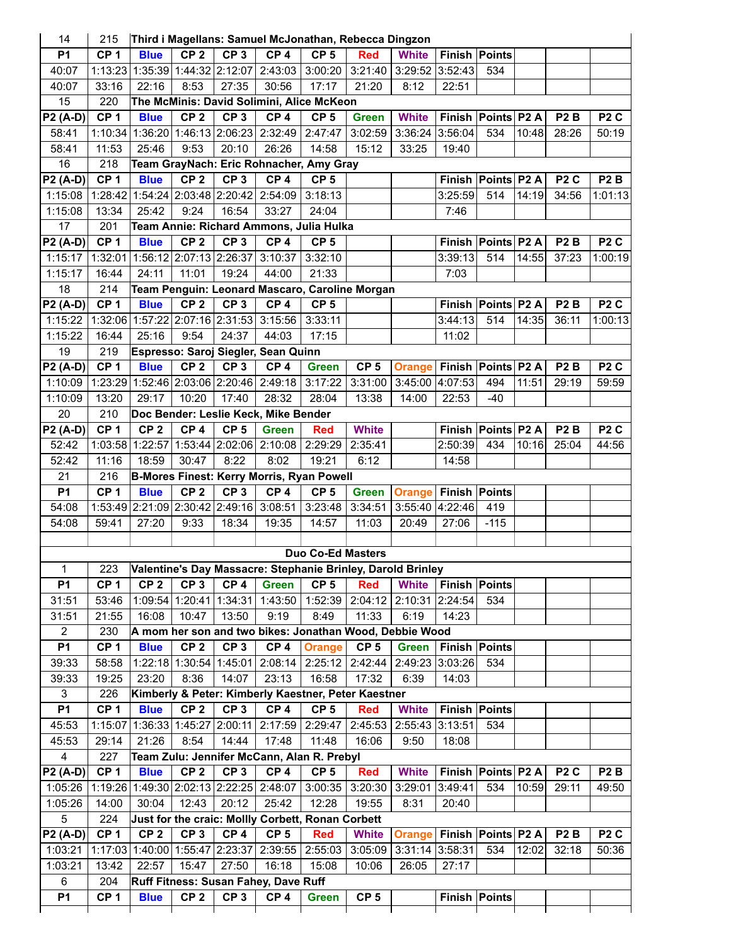| 14              | 215             |                 |                                 |                 | Third i Magellans: Samuel McJonathan, Rebecca Dingzon       |                          |                 |                   |                      |                      |       |                  |                  |
|-----------------|-----------------|-----------------|---------------------------------|-----------------|-------------------------------------------------------------|--------------------------|-----------------|-------------------|----------------------|----------------------|-------|------------------|------------------|
| <b>P1</b>       | CP <sub>1</sub> | <b>Blue</b>     | CP <sub>2</sub>                 | CP <sub>3</sub> | CP <sub>4</sub>                                             | CP <sub>5</sub>          | <b>Red</b>      | <b>White</b>      | <b>Finish Points</b> |                      |       |                  |                  |
| 40:07           |                 |                 | 1:13:23 1:35:39 1:44:32 2:12:07 |                 | 2:43:03                                                     | 3:00:20                  | 3:21:40         | 3:29:52 3:52:43   |                      | 534                  |       |                  |                  |
| 40:07           | 33:16           | 22:16           | 8:53                            | 27:35           | 30:56                                                       | 17:17                    | 21:20           | 8:12              | 22:51                |                      |       |                  |                  |
| 15              | 220             |                 |                                 |                 | The McMinis: David Solimini, Alice McKeon                   |                          |                 |                   |                      |                      |       |                  |                  |
| <b>P2 (A-D)</b> | CP <sub>1</sub> | <b>Blue</b>     | CP <sub>2</sub>                 | CP <sub>3</sub> | CP <sub>4</sub>                                             | CP <sub>5</sub>          | <b>Green</b>    | <b>White</b>      |                      | Finish Points P2 A   |       | P <sub>2</sub> B | P <sub>2</sub> C |
| 58:41           | 1:10:34         |                 |                                 |                 | 1:36:20 1:46:13 2:06:23 2:32:49                             | 2:47:47                  | 3:02:59         | 3:36:24 3:56:04   |                      | 534                  | 10:48 | 28:26            | 50:19            |
| 58:41           | 11:53           | 25:46           | 9:53                            | 20:10           | 26:26                                                       | 14:58                    | 15:12           | 33:25             | 19:40                |                      |       |                  |                  |
| 16              | 218             |                 |                                 |                 | Team GrayNach: Eric Rohnacher, Amy Gray                     |                          |                 |                   |                      |                      |       |                  |                  |
| P2 (A-D)        | CP <sub>1</sub> | <b>Blue</b>     | CP <sub>2</sub>                 | CP <sub>3</sub> | CP <sub>4</sub>                                             | CP <sub>5</sub>          |                 |                   |                      | Finish Points P2 A   |       | P <sub>2</sub> C | P <sub>2</sub> B |
| 1:15:08         |                 |                 |                                 |                 | 1:28:42 1:54:24 2:03:48 2:20:42 2:54:09                     | 3:18:13                  |                 |                   | 3:25:59              | 514                  | 14:19 | 34:56            | 1:01:13          |
| 1:15:08         | 13:34           | 25:42           | 9:24                            | 16:54           | 33:27                                                       | 24:04                    |                 |                   | 7:46                 |                      |       |                  |                  |
| 17              | 201             |                 |                                 |                 | Team Annie: Richard Ammons, Julia Hulka                     |                          |                 |                   |                      |                      |       |                  |                  |
| P2 (A-D)        | CP <sub>1</sub> | <b>Blue</b>     | CP <sub>2</sub>                 | CP <sub>3</sub> | CP <sub>4</sub>                                             | CP <sub>5</sub>          |                 |                   |                      | Finish Points P2 A   |       | P <sub>2</sub> B | P <sub>2</sub> C |
| 1:15:17         | 1:32:01         |                 | 1:56:12 2:07:13 2:26:37         |                 | 3:10:37                                                     | 3:32:10                  |                 |                   | 3:39:13              | 514                  | 14:55 | 37:23            | 1:00:19          |
| 1:15:17         | 16:44           | 24:11           | 11:01                           | 19:24           | 44:00                                                       | 21:33                    |                 |                   | 7:03                 |                      |       |                  |                  |
| 18              | 214             |                 |                                 |                 | Team Penguin: Leonard Mascaro, Caroline Morgan              |                          |                 |                   |                      |                      |       |                  |                  |
| P2 (A-D)        | CP <sub>1</sub> | <b>Blue</b>     | CP <sub>2</sub>                 | CP <sub>3</sub> | CP <sub>4</sub>                                             | CP <sub>5</sub>          |                 |                   |                      | Finish Points P2 A   |       | P <sub>2</sub> B | P <sub>2</sub> C |
| 1:15:22         |                 |                 | 1:32:06 1:57:22 2:07:16 2:31:53 |                 | 3:15:56                                                     | 3:33:11                  |                 |                   | 3:44:13              | 514                  | 14:35 | 36:11            | 1:00:13          |
| 1:15:22         | 16:44           | 25:16           | 9:54                            | 24:37           | 44:03                                                       | 17:15                    |                 |                   | 11:02                |                      |       |                  |                  |
| 19              | 219             |                 |                                 |                 | Espresso: Saroj Siegler, Sean Quinn                         |                          |                 |                   |                      |                      |       |                  |                  |
| P2 (A-D)        | CP <sub>1</sub> | <b>Blue</b>     | CP <sub>2</sub>                 | CP <sub>3</sub> | CP <sub>4</sub>                                             | <b>Green</b>             | CP <sub>5</sub> | <b>Orange</b>     | Finish Points P2 A   |                      |       | P <sub>2</sub> B | P <sub>2</sub> C |
| 1:10:09         |                 |                 |                                 |                 | 1:23:29 1:52:46 2:03:06 2:20:46 2:49:18                     | 3:17:22                  | 3:31:00         | 3:45:00 4:07:53   |                      | 494                  | 11:51 | 29:19            | 59:59            |
| 1:10:09         | 13:20           | 29:17           | 10:20                           | 17:40           | 28:32                                                       | 28:04                    | 13:38           | 14:00             | 22:53                | $-40$                |       |                  |                  |
| 20              |                 |                 |                                 |                 |                                                             |                          |                 |                   |                      |                      |       |                  |                  |
|                 | 210             |                 |                                 |                 | Doc Bender: Leslie Keck, Mike Bender                        |                          |                 |                   |                      |                      |       |                  |                  |
| <b>P2 (A-D)</b> | CP <sub>1</sub> | CP <sub>2</sub> | CP <sub>4</sub>                 | CP <sub>5</sub> | <b>Green</b>                                                | <b>Red</b>               | <b>White</b>    |                   |                      | Finish Points P2 A   |       | P <sub>2</sub> B | P <sub>2</sub> C |
| 52:42           | 1:03:58         | 1:22:57         |                                 |                 | 1:53:44 2:02:06 2:10:08                                     | 2:29:29                  | 2:35:41         |                   | 2:50:39              | 434                  | 10:16 | 25:04            | 44:56            |
| 52:42           | 11:16           | 18:59           | 30:47                           | 8:22            | 8:02                                                        | 19:21                    | 6:12            |                   | 14:58                |                      |       |                  |                  |
| 21              | 216             |                 |                                 |                 | <b>B-Mores Finest: Kerry Morris, Ryan Powell</b>            |                          |                 |                   |                      |                      |       |                  |                  |
| <b>P1</b>       | CP <sub>1</sub> | <b>Blue</b>     | CP <sub>2</sub>                 | CP <sub>3</sub> | CP <sub>4</sub>                                             | CP <sub>5</sub>          | <b>Green</b>    | <b>Orange</b>     | Finish Points        |                      |       |                  |                  |
| 54:08           |                 |                 | 1:53:49 2:21:09 2:30:42 2:49:16 |                 | 3:08:51                                                     | 3:23:48                  | 3:34:51         | 3:55:40 4:22:46   |                      | 419                  |       |                  |                  |
| 54:08           | 59:41           | 27:20           | 9:33                            | 18:34           | 19:35                                                       | 14:57                    | 11:03           | 20:49             | 27:06                | $-115$               |       |                  |                  |
|                 |                 |                 |                                 |                 |                                                             |                          |                 |                   |                      |                      |       |                  |                  |
|                 |                 |                 |                                 |                 |                                                             | <b>Duo Co-Ed Masters</b> |                 |                   |                      |                      |       |                  |                  |
| 1               | 223             |                 |                                 |                 | Valentine's Day Massacre: Stephanie Brinley, Darold Brinley |                          |                 |                   |                      |                      |       |                  |                  |
| P <sub>1</sub>  | CP <sub>1</sub> | CP <sub>2</sub> | CP <sub>3</sub>                 | CP <sub>4</sub> | <b>Green</b>                                                | CP <sub>5</sub>          | <b>Red</b>      | <b>White</b>      | <b>Finish Points</b> |                      |       |                  |                  |
| 31:51           | 53:46           |                 |                                 |                 | 1:09:54 1:20:41 1:34:31 1:43:50                             |                          | 1:52:39 2:04:12 | 2:10:31 2:24:54   |                      | 534                  |       |                  |                  |
| 31:51           | 21:55           | 16:08           | 10:47                           | 13:50           | 9:19                                                        | 8:49                     | 11:33           | 6:19              | 14:23                |                      |       |                  |                  |
| $\overline{2}$  | 230             |                 |                                 |                 | A mom her son and two bikes: Jonathan Wood, Debbie Wood     |                          |                 |                   |                      |                      |       |                  |                  |
| <b>P1</b>       | CP <sub>1</sub> | <b>Blue</b>     | CP <sub>2</sub>                 | CP <sub>3</sub> | CP <sub>4</sub>                                             | <b>Orange</b>            | CP <sub>5</sub> | Green             | Finish Points        |                      |       |                  |                  |
| 39:33           | 58:58           |                 |                                 |                 | 1:22:18 1:30:54 1:45:01 2:08:14                             |                          | 2:25:12 2:42:44 | 2:49:23 3:03:26   |                      | 534                  |       |                  |                  |
| 39:33           | 19:25           | 23:20           | 8:36                            | 14:07           | 23:13                                                       | 16:58                    | 17:32           | 6:39              | 14:03                |                      |       |                  |                  |
| 3               | 226             |                 |                                 |                 | Kimberly & Peter: Kimberly Kaestner, Peter Kaestner         |                          |                 |                   |                      |                      |       |                  |                  |
| <b>P1</b>       | CP <sub>1</sub> | <b>Blue</b>     | CP <sub>2</sub>                 | CP <sub>3</sub> | CP <sub>4</sub>                                             | CP <sub>5</sub>          | <b>Red</b>      | <b>White</b>      |                      | <b>Finish Points</b> |       |                  |                  |
| 45:53           | 1:15:07         |                 |                                 |                 | 1:36:33 1:45:27 2:00:11 2:17:59                             | 2:29:47                  | 2:45:53         | 2:55:43 3:13:51   |                      | 534                  |       |                  |                  |
| 45:53           | 29:14           | 21:26           | 8:54                            | 14:44           | 17:48                                                       | 11:48                    | 16:06           | 9:50              | 18:08                |                      |       |                  |                  |
| $\overline{4}$  | 227             |                 |                                 |                 | Team Zulu: Jennifer McCann, Alan R. Prebyl                  |                          |                 |                   |                      |                      |       |                  |                  |
| <b>P2 (A-D)</b> | CP <sub>1</sub> | <b>Blue</b>     | CP <sub>2</sub>                 | CP <sub>3</sub> | CP <sub>4</sub>                                             | CP <sub>5</sub>          | <b>Red</b>      | <b>White</b>      |                      | Finish Points P2 A   |       | P <sub>2</sub> C | P <sub>2</sub> B |
| 1:05:26         |                 |                 |                                 |                 | 1:19:26 1:49:30 2:02:13 2:22:25 2:48:07                     |                          | 3:00:35 3:20:30 | $3:29:01$ 3:49:41 |                      | 534                  | 10:59 | 29:11            | 49:50            |
| 1:05:26         | 14:00           | 30:04           | 12:43                           | 20:12           | 25:42                                                       | 12:28                    | 19:55           | 8:31              | 20:40                |                      |       |                  |                  |
| 5               | 224             |                 |                                 |                 | Just for the craic: Mollly Corbett, Ronan Corbett           |                          |                 |                   |                      |                      |       |                  |                  |
| $P2 (A-D)$      | CP <sub>1</sub> | CP <sub>2</sub> | CP <sub>3</sub>                 | CP <sub>4</sub> | CP <sub>5</sub>                                             | <b>Red</b>               | <b>White</b>    | <b>Orange</b>     | Finish Points P2 A   |                      |       | P <sub>2</sub> B | P <sub>2</sub> C |
| 1:03:21         |                 |                 | 1:17:03 1:40:00 1:55:47 2:23:37 |                 | 2:39:55                                                     |                          | 2:55:03 3:05:09 | $3:31:14$ 3:58:31 |                      | 534                  | 12:02 | 32:18            | 50:36            |
| 1:03:21         | 13:42           | 22:57           | 15:47                           | 27:50           | 16:18                                                       | 15:08                    | 10:06           | 26:05             | 27:17                |                      |       |                  |                  |
| 6               | 204             |                 |                                 |                 | Ruff Fitness: Susan Fahey, Dave Ruff                        |                          |                 |                   |                      |                      |       |                  |                  |
| <b>P1</b>       | CP <sub>1</sub> | <b>Blue</b>     | CP <sub>2</sub>                 | CP <sub>3</sub> | CP <sub>4</sub>                                             | <b>Green</b>             | CP <sub>5</sub> |                   |                      | <b>Finish Points</b> |       |                  |                  |
|                 |                 |                 |                                 |                 |                                                             |                          |                 |                   |                      |                      |       |                  |                  |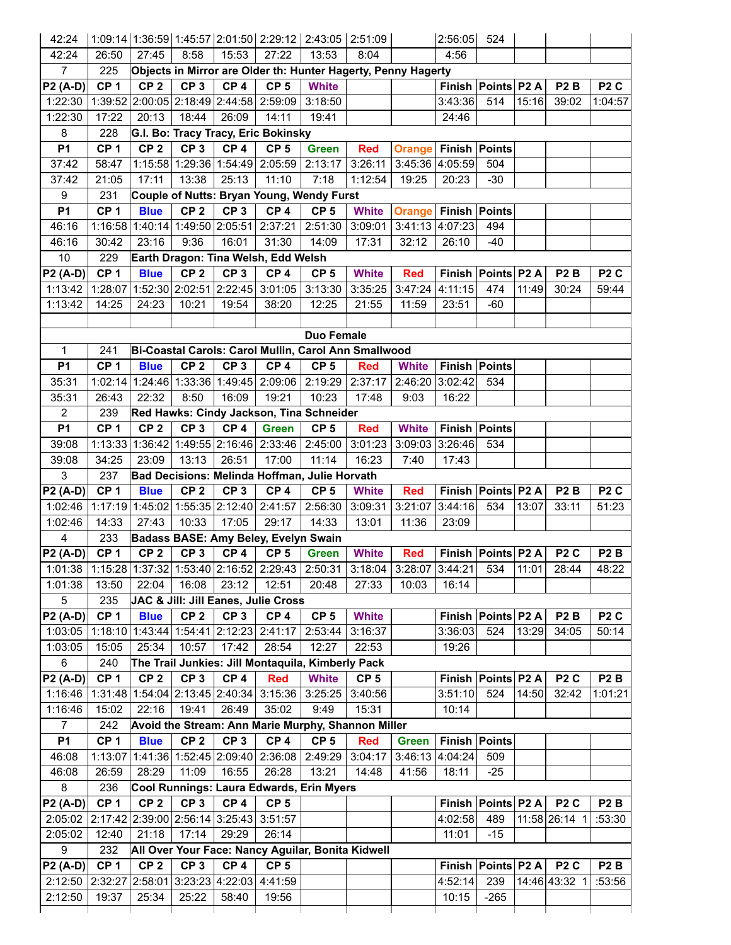| 42:24                         |                        |                 |                 |                                                  |                                         |                                                         | 1:09:14 1:36:59 1:45:57 2:01:50 2:29:12 2:43:05 2:51:09                 |                                           | $2:56:05$ 524        |                        |       |                  |                             |
|-------------------------------|------------------------|-----------------|-----------------|--------------------------------------------------|-----------------------------------------|---------------------------------------------------------|-------------------------------------------------------------------------|-------------------------------------------|----------------------|------------------------|-------|------------------|-----------------------------|
| 42:24                         | 26:50                  | 27:45           | 8:58            | 15:53                                            | 27:22                                   | 13:53                                                   | 8:04                                                                    |                                           | 4:56                 |                        |       |                  |                             |
| $7^{\circ}$                   | 225                    |                 |                 |                                                  |                                         |                                                         | Objects in Mirror are Older th: Hunter Hagerty, Penny Hagerty           |                                           |                      |                        |       |                  |                             |
| <b>P2 (A-D)</b>               | CP <sub>1</sub>        | CP <sub>2</sub> | CP <sub>3</sub> | CP <sub>4</sub>                                  | CP <sub>5</sub>                         | <b>White</b>                                            |                                                                         |                                           |                      | Finish Points P2 A     |       | P <sub>2</sub> B | P <sub>2</sub> C            |
| 1:22:30                       |                        |                 |                 | 1:39:52 2:00:05 2:18:49 2:44:58 2:59:09          |                                         | 3:18:50                                                 |                                                                         |                                           | 3:43:36              | 514                    | 15:16 | 39:02            | 1:04:57                     |
| 1:22:30                       | 17:22                  | 20:13           | 18:44           | 26:09                                            | 14:11                                   | 19:41                                                   |                                                                         |                                           | 24:46                |                        |       |                  |                             |
| 8                             | 228                    |                 |                 |                                                  | G.I. Bo: Tracy Tracy, Eric Bokinsky     |                                                         |                                                                         |                                           |                      |                        |       |                  |                             |
| P <sub>1</sub>                | CP <sub>1</sub>        | CP <sub>2</sub> | CP <sub>3</sub> | CP <sub>4</sub>                                  | CP <sub>5</sub>                         | <b>Green</b>                                            | <b>Red</b>                                                              | <b>Orange Finish Points</b>               |                      |                        |       |                  |                             |
| 37:42                         | 58:47                  |                 |                 |                                                  | 1:15:58 1:29:36 1:54:49 2:05:59         | 2:13:17                                                 | 3:26:11                                                                 | 3:45:36 4:05:59                           |                      | 504                    |       |                  |                             |
| 37:42                         | 21:05                  | 17:11           | 13:38           | 25:13                                            | 11:10                                   | 7:18                                                    | 1:12:54                                                                 | 19:25                                     | 20:23                | $-30$                  |       |                  |                             |
| 9                             | 231                    |                 |                 |                                                  |                                         | Couple of Nutts: Bryan Young, Wendy Furst               |                                                                         |                                           |                      |                        |       |                  |                             |
| <b>P1</b>                     | CP <sub>1</sub>        | <b>Blue</b>     | CP <sub>2</sub> | CP <sub>3</sub>                                  | CP <sub>4</sub>                         | CP <sub>5</sub>                                         | <b>White</b>                                                            | <b>Orange Finish Points</b>               |                      |                        |       |                  |                             |
| 46:16                         |                        |                 |                 |                                                  |                                         | 1:16:58 1:40:14 1:49:50 2:05:51 2:37:21 2:51:30         | 3:09:01                                                                 | 3:41:13 4:07:23                           |                      | 494                    |       |                  |                             |
| 46:16                         | 30:42                  | 23:16           | 9:36            | 16:01                                            | 31:30                                   | 14:09                                                   | 17:31                                                                   | 32:12                                     | 26:10                | -40                    |       |                  |                             |
| 10 <sup>1</sup>               | 229                    |                 |                 |                                                  | Earth Dragon: Tina Welsh, Edd Welsh     |                                                         |                                                                         |                                           |                      |                        |       |                  |                             |
| <b>P2 (A-D)</b>               | CP <sub>1</sub>        | <b>Blue</b>     | CP <sub>2</sub> | CP <sub>3</sub>                                  | CP <sub>4</sub>                         | CP <sub>5</sub>                                         | <b>White</b>                                                            | <b>Red</b>                                |                      | Finish Points P2 A     |       | P <sub>2</sub> B | P <sub>2</sub> C            |
| 1:13:42                       |                        |                 |                 |                                                  | 1:28:07 1:52:30 2:02:51 2:22:45 3:01:05 | 3:13:30                                                 | 3:35:25                                                                 | 3:47:24 4:11:15                           |                      | 474                    | 11:49 | 30:24            | 59:44                       |
|                               |                        |                 |                 |                                                  |                                         |                                                         |                                                                         |                                           |                      |                        |       |                  |                             |
| 1:13:42                       | 14:25                  | 24:23           | 10:21           | 19:54                                            | 38:20                                   | 12:25                                                   | 21:55                                                                   | 11:59                                     | 23:51                | $-60$                  |       |                  |                             |
|                               |                        |                 |                 |                                                  |                                         |                                                         |                                                                         |                                           |                      |                        |       |                  |                             |
|                               |                        |                 |                 |                                                  |                                         | <b>Duo Female</b>                                       |                                                                         |                                           |                      |                        |       |                  |                             |
| $\mathbf{1}$                  | 241<br>CP <sub>1</sub> |                 |                 |                                                  |                                         |                                                         | Bi-Coastal Carols: Carol Mullin, Carol Ann Smallwood                    |                                           |                      |                        |       |                  |                             |
| <b>P1</b>                     |                        | <b>Blue</b>     | CP <sub>2</sub> | CP <sub>3</sub>                                  | CP <sub>4</sub>                         | CP <sub>5</sub>                                         | <b>Red</b>                                                              | <b>White</b>                              |                      | <b>Finish Points</b>   |       |                  |                             |
| 35:31                         |                        |                 |                 |                                                  |                                         |                                                         | 1:02:14 1:24:46 1:33:36 1:49:45 2:09:06 2:19:29 2:37:17 2:46:20 3:02:42 |                                           |                      | 534                    |       |                  |                             |
| 35:31                         | 26:43                  | 22:32           | 8:50            | 16:09                                            | 19:21                                   | 10:23                                                   | 17:48                                                                   | 9:03                                      | 16:22                |                        |       |                  |                             |
| $\overline{2}$                | 239                    |                 |                 |                                                  |                                         | Red Hawks: Cindy Jackson, Tina Schneider                |                                                                         |                                           |                      |                        |       |                  |                             |
| <b>P1</b>                     | CP <sub>1</sub>        | CP <sub>2</sub> | CP <sub>3</sub> | CP <sub>4</sub>                                  | <b>Green</b>                            | CP <sub>5</sub>                                         | <b>Red</b>                                                              | <b>White</b>                              | Finish Points        |                        |       |                  |                             |
| 39:08                         |                        |                 |                 |                                                  |                                         | 1:13:33 1:36:42 1:49:55 2:16:46 2:33:46 2:45:00         | 3:01:23                                                                 | 3:09:03 3:26:46                           |                      | 534                    |       |                  |                             |
| 39:08                         | 34:25                  | 23:09           | 13:13           | 26:51                                            | 17:00                                   | 11:14                                                   | 16:23                                                                   | 7:40                                      | 17:43                |                        |       |                  |                             |
| 3                             | 237                    |                 |                 |                                                  |                                         | Bad Decisions: Melinda Hoffman, Julie Horvath           |                                                                         |                                           |                      |                        |       |                  |                             |
| $P2 (A-D)$                    | CP <sub>1</sub>        | <b>Blue</b>     | CP <sub>2</sub> | CP <sub>3</sub>                                  | CP <sub>4</sub>                         | CP <sub>5</sub>                                         | <b>White</b>                                                            | <b>Red</b>                                |                      | Finish Points P2 A     |       | P <sub>2</sub> B | P <sub>2</sub> C            |
| 1:02:46                       |                        |                 |                 |                                                  |                                         | 1:17:19 1:45:02 1:55:35 2:12:40 2:41:57 2:56:30         | 3:09:31                                                                 | 3:21:07                                   | 3:44:16              | 534                    | 13:07 | 33:11            | 51:23                       |
| 1:02:46                       | 14:33                  | 27:43           | 10:33           | 17:05                                            | 29:17                                   | 14:33                                                   | 13:01                                                                   | 11:36                                     | 23:09                |                        |       |                  |                             |
| $\overline{4}$                | 233                    |                 |                 |                                                  | Badass BASE: Amy Beley, Evelyn Swain    |                                                         |                                                                         |                                           |                      |                        |       |                  |                             |
| $P2(A-D)$                     | CP <sub>1</sub>        |                 | $CP 2$ $CP 3$   |                                                  | $CP 4$ CP 5 Green                       |                                                         | <b>White</b>                                                            | <b>Red</b>                                |                      | Finish Points P2 A     |       | P <sub>2</sub> C | P2B                         |
|                               |                        |                 |                 |                                                  |                                         | 1:01:38 1:15:28 1:37:32 1:53:40 2:16:52 2:29:43 2:50:31 |                                                                         | $3:18:04$ 3:28:07 3:44:21 534 11:01 28:44 |                      |                        |       |                  | 48:22                       |
| 1:01:38                       | 13:50                  | 22:04           | 16:08           | 23:12                                            | 12:51                                   | 20:48                                                   | 27:33                                                                   | 10:03                                     | 16:14                |                        |       |                  |                             |
| 5                             | 235                    |                 |                 |                                                  |                                         |                                                         |                                                                         |                                           |                      |                        |       |                  |                             |
| <b>P2 (A-D)</b>               |                        |                 |                 |                                                  | JAC & Jill: Jill Eanes, Julie Cross     |                                                         |                                                                         |                                           |                      |                        |       |                  |                             |
|                               | CP <sub>1</sub>        | <b>Blue</b>     | CP <sub>2</sub> | CP <sub>3</sub>                                  | CP <sub>4</sub>                         | CP <sub>5</sub>                                         | <b>White</b>                                                            |                                           |                      | Finish Points P2 A     |       | P <sub>2</sub> B | P <sub>2</sub> C            |
|                               |                        |                 |                 | 1:18:10 1:43:44 1:54:41 2:12:23 2:41:17          |                                         | 2:53:44                                                 | 3:16:37                                                                 |                                           | 3:36:03              | 524                    | 13:29 | 34:05            | 50:14                       |
|                               | 15:05                  | 25:34           | 10:57           | 17:42                                            | 28:54                                   | 12:27                                                   | 22:53                                                                   |                                           | 19:26                |                        |       |                  |                             |
| 6                             | 240                    |                 |                 |                                                  |                                         | The Trail Junkies: Jill Montaquila, Kimberly Pack       |                                                                         |                                           |                      |                        |       |                  |                             |
|                               | CP <sub>1</sub>        | CP <sub>2</sub> | CP <sub>3</sub> | CP <sub>4</sub>                                  | <b>Red</b>                              | <b>White</b>                                            | CP <sub>5</sub>                                                         |                                           |                      | Finish   Points   P2 A |       | P <sub>2</sub> C | P <sub>2</sub> B            |
|                               |                        |                 |                 |                                                  | 1:31:48 1:54:04 2:13:45 2:40:34 3:15:36 | 3:25:25                                                 | 3:40:56                                                                 |                                           | 3:51:10              | 524                    | 14:50 | 32:42            |                             |
| 1:03:05<br>1:16:46            | 15:02                  |                 | 19:41           | 26:49                                            | 35:02                                   | 9:49                                                    | 15:31                                                                   |                                           | 10:14                |                        |       |                  |                             |
| $\overline{7}$                |                        | 22:16           |                 |                                                  |                                         |                                                         |                                                                         |                                           |                      |                        |       |                  |                             |
|                               | 242                    |                 |                 |                                                  |                                         |                                                         | Avoid the Stream: Ann Marie Murphy, Shannon Miller                      |                                           |                      |                        |       |                  |                             |
| <b>P1</b>                     | CP <sub>1</sub>        | <b>Blue</b>     | CP <sub>2</sub> | CP <sub>3</sub>                                  | CP <sub>4</sub>                         | CP <sub>5</sub>                                         | <b>Red</b>                                                              | Green                                     | <b>Finish Points</b> |                        |       |                  |                             |
| 46:08                         |                        |                 |                 |                                                  | 1:13:07 1:41:36 1:52:45 2:09:40 2:36:08 | 2:49:29                                                 | 3:04:17                                                                 | 3:46:13 4:04:24                           |                      | 509                    |       |                  |                             |
| 46:08                         | 26:59                  | 28:29           | 11:09           | 16:55                                            | 26:28                                   | 13:21                                                   | 14:48                                                                   | 41:56                                     | 18:11                | $-25$                  |       |                  |                             |
| 8                             | 236                    |                 |                 |                                                  |                                         | Cool Runnings: Laura Edwards, Erin Myers                |                                                                         |                                           |                      |                        |       |                  |                             |
|                               | CP <sub>1</sub>        | CP <sub>2</sub> | CP <sub>3</sub> | CP <sub>4</sub>                                  | CP <sub>5</sub>                         |                                                         |                                                                         |                                           |                      | Finish   Points   P2 A |       | P <sub>2</sub> C | P <sub>2</sub> B            |
|                               |                        |                 |                 | 2:05:02 2:17:42 2:39:00 2:56:14 3:25:43          | 3:51:57                                 |                                                         |                                                                         |                                           | 4:02:58              | 489                    |       | 11:58 26:14 1    |                             |
| 1:03:05<br>1:16:46<br>2:05:02 | 12:40                  | 21:18           | 17:14           | 29:29                                            | 26:14                                   |                                                         |                                                                         |                                           | 11:01                | $-15$                  |       |                  |                             |
| P2 (A-D)<br>P2 (A-D)<br>9     | 232                    |                 |                 |                                                  |                                         | All Over Your Face: Nancy Aguilar, Bonita Kidwell       |                                                                         |                                           |                      |                        |       |                  |                             |
|                               | CP <sub>1</sub>        | CP <sub>2</sub> | CP <sub>3</sub> | CP <sub>4</sub>                                  | CP <sub>5</sub>                         |                                                         |                                                                         |                                           |                      | Finish   Points   P2 A |       | P <sub>2</sub> C | P <sub>2</sub> B            |
| $P2(A-D)$<br>2:12:50          | 19:37                  | 25:34           | 25:22           | 2:12:50 2:32:27 2:58:01 3:23:23 4:22:03<br>58:40 | 4:41:59<br>19:56                        |                                                         |                                                                         |                                           | 4:52:14<br>10:15     | 239<br>$-265$          |       | 14:46 43:32 1    | 1:01:21<br>:53:30<br>:53:56 |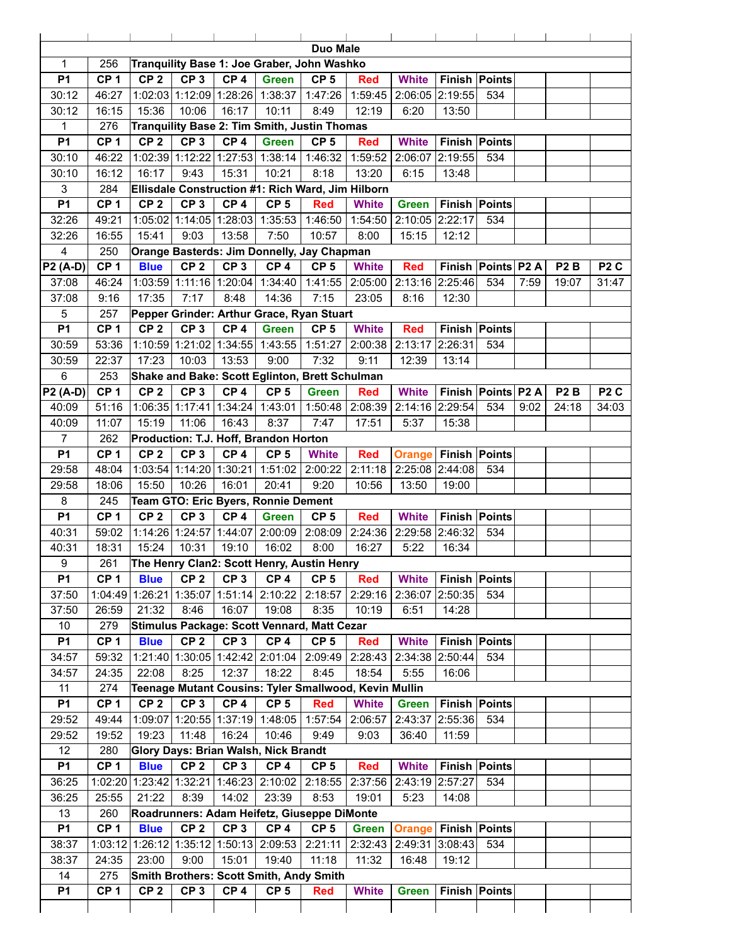|                  |                        |                 |                 |                 |                                                       | <b>Duo Male</b> |                                 |                             |                      |                      |      |                  |                  |
|------------------|------------------------|-----------------|-----------------|-----------------|-------------------------------------------------------|-----------------|---------------------------------|-----------------------------|----------------------|----------------------|------|------------------|------------------|
| $\mathbf{1}$     | 256                    |                 |                 |                 | Tranquility Base 1: Joe Graber, John Washko           |                 |                                 |                             |                      |                      |      |                  |                  |
| <b>P1</b>        | CP <sub>1</sub>        | CP <sub>2</sub> | CP <sub>3</sub> | CP <sub>4</sub> | <b>Green</b>                                          | CP <sub>5</sub> | <b>Red</b>                      | <b>White</b>                | Finish Points        |                      |      |                  |                  |
| 30:12            | 46:27                  |                 |                 |                 | 1:02:03 1:12:09 1:28:26 1:38:37                       | 1:47:26         | 1:59:45                         | 2:06:05 2:19:55             |                      | 534                  |      |                  |                  |
| 30:12            | 16:15                  | 15:36           | 10:06           | 16:17           | 10:11                                                 | 8:49            | 12:19                           | 6:20                        | 13:50                |                      |      |                  |                  |
| 1                | 276                    |                 |                 |                 | Tranquility Base 2: Tim Smith, Justin Thomas          |                 |                                 |                             |                      |                      |      |                  |                  |
| <b>P1</b>        | CP <sub>1</sub>        | CP <sub>2</sub> | CP <sub>3</sub> | CP <sub>4</sub> | <b>Green</b>                                          | CP <sub>5</sub> | <b>Red</b>                      | <b>White</b>                | Finish Points        |                      |      |                  |                  |
| 30:10            | 46:22                  |                 |                 |                 | 1:02:39 1:12:22 1:27:53 1:38:14                       | 1:46:32         | 1:59:52                         | 2:06:07 2:19:55             |                      | 534                  |      |                  |                  |
| 30:10            | 16:12                  | 16:17           | 9:43            | 15:31           | 10:21                                                 | 8:18            | 13:20                           | 6:15                        | 13:48                |                      |      |                  |                  |
| 3                | 284                    |                 |                 |                 | Ellisdale Construction #1: Rich Ward, Jim Hilborn     |                 |                                 |                             |                      |                      |      |                  |                  |
| <b>P1</b>        | CP <sub>1</sub>        | CP <sub>2</sub> | CP <sub>3</sub> | CP <sub>4</sub> | CP <sub>5</sub>                                       | <b>Red</b>      | <b>White</b>                    | <b>Green</b>                | <b>Finish Points</b> |                      |      |                  |                  |
| 32:26            | 49:21                  |                 |                 |                 | 1:05:02 1:14:05 1:28:03 1:35:53                       |                 | 1:46:50 1:54:50 2:10:05 2:22:17 |                             |                      | 534                  |      |                  |                  |
| 32:26            | 16:55                  | 15:41           | 9:03            | 13:58           | 7:50                                                  | 10:57           | 8:00                            | 15:15                       | 12:12                |                      |      |                  |                  |
| $\overline{4}$   | 250                    |                 |                 |                 | Orange Basterds: Jim Donnelly, Jay Chapman            |                 |                                 |                             |                      |                      |      |                  |                  |
| <b>P2 (A-D)</b>  | CP <sub>1</sub>        | <b>Blue</b>     | CP <sub>2</sub> | CP <sub>3</sub> | CP <sub>4</sub>                                       | CP <sub>5</sub> | <b>White</b>                    | <b>Red</b>                  |                      | Finish Points P2 A   |      | P <sub>2</sub> B | P <sub>2</sub> C |
| 37:08            | 46:24                  |                 |                 |                 | 1:03:59 1:11:16 1:20:04 1:34:40                       | 1:41:55         |                                 | 2:05:00 2:13:16 2:25:46     |                      | 534                  | 7:59 | 19:07            | 31:47            |
| 37:08            | 9:16                   | 17:35           | 7:17            | 8:48            | 14:36                                                 | 7:15            | 23:05                           | 8:16                        | 12:30                |                      |      |                  |                  |
| 5                | 257                    |                 |                 |                 | Pepper Grinder: Arthur Grace, Ryan Stuart             |                 |                                 |                             |                      |                      |      |                  |                  |
| <b>P1</b>        | CP <sub>1</sub>        | CP <sub>2</sub> | CP <sub>3</sub> | CP <sub>4</sub> | <b>Green</b>                                          | CP <sub>5</sub> | <b>White</b>                    | <b>Red</b>                  |                      | Finish Points        |      |                  |                  |
| 30:59            | 53:36                  |                 |                 |                 | 1:10:59 1:21:02 1:34:55 1:43:55                       | 1:51:27         |                                 | 2:00:38 2:13:17 2:26:31     |                      | 534                  |      |                  |                  |
| 30:59            | 22:37                  | 17:23           | 10:03           | 13:53           | 9:00                                                  | 7:32            | 9:11                            | 12:39                       | 13:14                |                      |      |                  |                  |
| 6                | 253                    |                 |                 |                 | Shake and Bake: Scott Eglinton, Brett Schulman        |                 |                                 |                             |                      |                      |      |                  |                  |
| <b>P2 (A-D)</b>  | CP <sub>1</sub>        | CP <sub>2</sub> | CP <sub>3</sub> | CP <sub>4</sub> | CP <sub>5</sub>                                       | <b>Green</b>    | <b>Red</b>                      | <b>White</b>                | Finish Points P2 A   |                      |      | P <sub>2</sub> B | P <sub>2</sub> C |
| 40:09            | 51:16                  |                 |                 |                 | 1:06:35 1:17:41 1:34:24 1:43:01                       | 1:50:48         |                                 | 2:08:39 2:14:16 2:29:54     |                      | 534                  | 9:02 | 24:18            | 34:03            |
| 40:09            | 11:07                  | 15:19           | 11:06           | 16:43           | 8:37                                                  | 7:47            | 17:51                           | 5:37                        | 15:38                |                      |      |                  |                  |
| $\overline{7}$   | 262                    |                 |                 |                 | Production: T.J. Hoff, Brandon Horton                 |                 |                                 |                             |                      |                      |      |                  |                  |
| <b>P1</b>        | CP <sub>1</sub>        | CP <sub>2</sub> | CP <sub>3</sub> | CP <sub>4</sub> | CP <sub>5</sub>                                       | <b>White</b>    | <b>Red</b>                      | <b>Orange Finish Points</b> |                      |                      |      |                  |                  |
| 29:58            | 48:04                  |                 |                 |                 | 1:03:54 1:14:20 1:30:21 1:51:02                       | 2:00:22         | 2:11:18                         | 2:25:08 2:44:08             |                      | 534                  |      |                  |                  |
| 29:58            | 18:06                  | 15:50           | 10:26           | 16:01           | 20:41                                                 | 9:20            | 10:56                           | 13:50                       | 19:00                |                      |      |                  |                  |
| 8                | 245                    |                 |                 |                 | Team GTO: Eric Byers, Ronnie Dement                   |                 |                                 |                             |                      |                      |      |                  |                  |
| <b>P1</b>        | CP <sub>1</sub>        | CP <sub>2</sub> | CP <sub>3</sub> | CP <sub>4</sub> | <b>Green</b>                                          | CP <sub>5</sub> | <b>Red</b>                      | <b>White</b>                |                      | <b>Finish Points</b> |      |                  |                  |
| 40:31            | 59:02                  |                 |                 |                 | 1:14:26 1:24:57 1:44:07 2:00:09                       | 2:08:09         |                                 | 2:24:36 2:29:58 2:46:32     |                      | 534                  |      |                  |                  |
| 40:31            | 18:31                  | 15:24           | 10:31           | 19:10           | 16:02                                                 | 8:00            | 16:27                           | 5:22                        | 16:34                |                      |      |                  |                  |
| $\boldsymbol{9}$ | 261                    |                 |                 |                 | The Henry Clan2: Scott Henry, Austin Henry            |                 |                                 |                             |                      |                      |      |                  |                  |
| <b>P1</b>        | CP <sub>1</sub>        | <b>Blue</b>     | CP <sub>2</sub> | CP <sub>3</sub> | CP <sub>4</sub>                                       | CP <sub>5</sub> | <b>Red</b>                      | <b>White</b>                | <b>Finish Points</b> |                      |      |                  |                  |
| 37:50            |                        |                 |                 |                 | 1:04:49 1:26:21 1:35:07 1:51:14 2:10:22               | 2:18:57         | 2:29:16                         | 2:36:07 2:50:35             |                      | 534                  |      |                  |                  |
| 37:50            | 26:59                  | 21:32           | 8:46            | 16:07           | 19:08                                                 | 8:35            | 10:19                           | 6:51                        | 14:28                |                      |      |                  |                  |
| 10               | 279                    |                 |                 |                 | Stimulus Package: Scott Vennard, Matt Cezar           |                 |                                 |                             |                      |                      |      |                  |                  |
| <b>P1</b>        | CP <sub>1</sub>        | <b>Blue</b>     | CP <sub>2</sub> | CP <sub>3</sub> | CP <sub>4</sub>                                       | CP <sub>5</sub> | <b>Red</b>                      | <b>White</b>                | <b>Finish Points</b> |                      |      |                  |                  |
| 34:57            | 59:32                  |                 |                 |                 | 1:21:40 1:30:05 1:42:42 2:01:04                       | 2:09:49         |                                 | 2:28:43 2:34:38 2:50:44     |                      | 534                  |      |                  |                  |
| 34:57            | 24:35                  | 22:08           | 8:25            | 12:37           | 18:22                                                 | 8:45            | 18:54                           | 5:55                        | 16:06                |                      |      |                  |                  |
|                  |                        |                 |                 |                 |                                                       |                 |                                 |                             |                      |                      |      |                  |                  |
| 11<br><b>P1</b>  | 274<br>CP <sub>1</sub> | CP <sub>2</sub> | CP <sub>3</sub> | CP <sub>4</sub> | Teenage Mutant Cousins: Tyler Smallwood, Kevin Mullin |                 | <b>White</b>                    |                             |                      | <b>Finish Points</b> |      |                  |                  |
|                  |                        |                 |                 |                 | CP <sub>5</sub>                                       | <b>Red</b>      |                                 | <b>Green</b>                |                      |                      |      |                  |                  |
| 29:52            | 49:44                  |                 |                 |                 | 1:09:07 1:20:55 1:37:19 1:48:05                       | 1:57:54         | 2:06:57                         | 2:43:37 2:55:36             |                      | 534                  |      |                  |                  |
| 29:52            | 19:52                  | 19:23           | 11:48           | 16:24           | 10:46                                                 | 9:49            | 9:03                            | 36:40                       | 11:59                |                      |      |                  |                  |
| 12               | 280                    |                 |                 |                 | Glory Days: Brian Walsh, Nick Brandt                  |                 |                                 |                             |                      |                      |      |                  |                  |
| <b>P1</b>        | CP <sub>1</sub>        | <b>Blue</b>     | CP <sub>2</sub> | CP <sub>3</sub> | CP <sub>4</sub>                                       | CP <sub>5</sub> | <b>Red</b>                      | <b>White</b>                |                      | <b>Finish Points</b> |      |                  |                  |
| 36:25            |                        |                 |                 |                 | 1:02:20 1:23:42 1:32:21 1:46:23 2:10:02               | 2:18:55         |                                 | 2:37:56 2:43:19 2:57:27     |                      | 534                  |      |                  |                  |
| 36:25            | 25:55                  | 21:22           | 8:39            | 14:02           | 23:39                                                 | 8:53            | 19:01                           | 5:23                        | 14:08                |                      |      |                  |                  |
| 13               | 260                    |                 |                 |                 | Roadrunners: Adam Heifetz, Giuseppe DiMonte           |                 |                                 |                             |                      |                      |      |                  |                  |
| <b>P1</b>        | CP <sub>1</sub>        | <b>Blue</b>     | CP <sub>2</sub> | CP <sub>3</sub> | CP <sub>4</sub>                                       | CP <sub>5</sub> | <b>Green</b>                    | <b>Orange Finish Points</b> |                      |                      |      |                  |                  |
| 38:37            | 1:03:12                |                 |                 |                 | 1:26:12 1:35:12 1:50:13 2:09:53                       | 2:21:11         | 2:32:43                         | 2:49:31 3:08:43             |                      | 534                  |      |                  |                  |
| 38:37            | 24:35                  | 23:00           | 9:00            | 15:01           | 19:40                                                 | 11:18           | 11:32                           | 16:48                       | 19:12                |                      |      |                  |                  |
| 14               | 275                    |                 |                 |                 | Smith Brothers: Scott Smith, Andy Smith               |                 |                                 |                             |                      |                      |      |                  |                  |
| <b>P1</b>        | CP <sub>1</sub>        | CP <sub>2</sub> | CP <sub>3</sub> | CP <sub>4</sub> | CP <sub>5</sub>                                       | <b>Red</b>      | <b>White</b>                    | <b>Green</b>                |                      | <b>Finish Points</b> |      |                  |                  |
|                  |                        |                 |                 |                 |                                                       |                 |                                 |                             |                      |                      |      |                  |                  |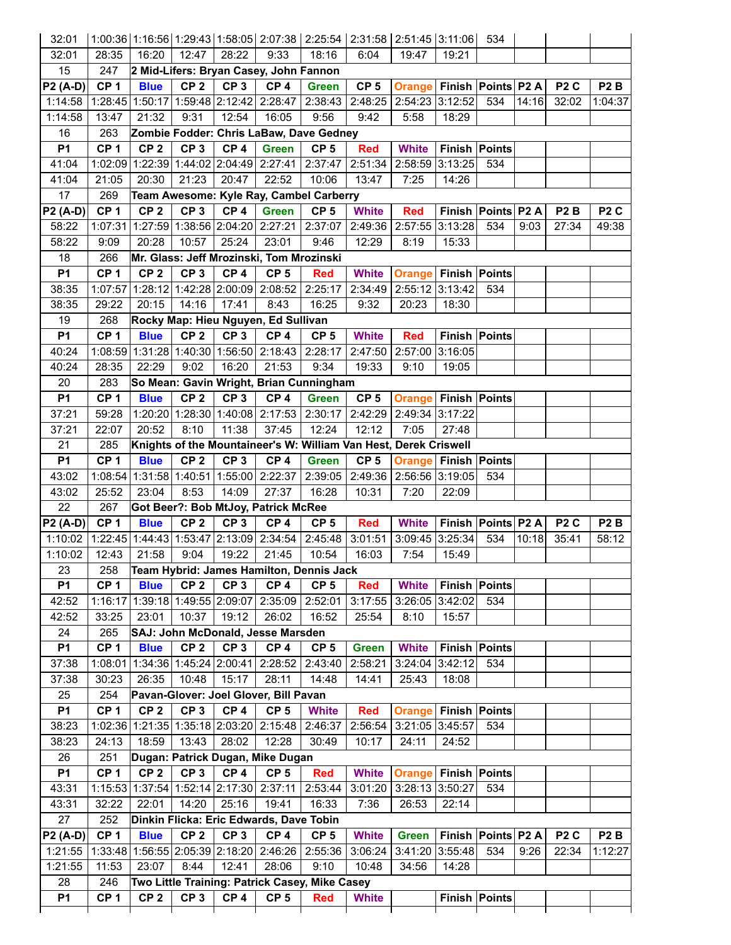| 32:01           |                                                                         |                 |                 |                 |                                                                   |                 | 1:00:36 1:16:56 1:29:43 1:58:05 2:07:38 2:25:54 2:31:58 2:51:45 3:11:06 534 |                                  |                      |                        |       |                  |                  |
|-----------------|-------------------------------------------------------------------------|-----------------|-----------------|-----------------|-------------------------------------------------------------------|-----------------|-----------------------------------------------------------------------------|----------------------------------|----------------------|------------------------|-------|------------------|------------------|
| 32:01           | 28:35                                                                   | 16:20           | 12:47           | 28:22           | 9:33                                                              | 18:16           | 6:04                                                                        | 19:47                            | 19:21                |                        |       |                  |                  |
| 15              | 247                                                                     |                 |                 |                 | 2 Mid-Lifers: Bryan Casey, John Fannon                            |                 |                                                                             |                                  |                      |                        |       |                  |                  |
| $P2(A-D)$       | CP <sub>1</sub>                                                         | <b>Blue</b>     | CP <sub>2</sub> | CP 3            | CP <sub>4</sub>                                                   | <b>Green</b>    | CP <sub>5</sub>                                                             | <b>Orange Finish Points P2 A</b> |                      |                        |       | P <sub>2</sub> C | P <sub>2</sub> B |
| 1:14:58         |                                                                         |                 |                 |                 | 1:28:45 1:50:17 1:59:48 2:12:42 2:28:47 2:38:43                   |                 |                                                                             | 2:48:25 2:54:23 3:12:52          |                      | 534                    | 14:16 | 32:02            | 1:04:37          |
| 1:14:58         | 13:47                                                                   | 21:32           | 9:31            | 12:54           | 16:05                                                             | 9:56            | 9:42                                                                        | 5:58                             | 18:29                |                        |       |                  |                  |
| 16              | 263                                                                     |                 |                 |                 | Zombie Fodder: Chris LaBaw, Dave Gedney                           |                 |                                                                             |                                  |                      |                        |       |                  |                  |
| <b>P1</b>       | CP <sub>1</sub>                                                         | CP <sub>2</sub> | CP <sub>3</sub> | CP <sub>4</sub> | <b>Green</b>                                                      | CP <sub>5</sub> | <b>Red</b>                                                                  | <b>White</b>                     | <b>Finish Points</b> |                        |       |                  |                  |
| 41:04           |                                                                         |                 |                 |                 | 1:02:09 1:22:39 1:44:02 2:04:49 2:27:41 2:37:47                   |                 | 2:51:34                                                                     | 2:58:59 3:13:25                  |                      | 534                    |       |                  |                  |
| 41:04           | 21:05                                                                   | 20:30           | 21:23           | 20:47           | 22:52                                                             | 10:06           | 13:47                                                                       | 7:25                             | 14:26                |                        |       |                  |                  |
| 17              | 269                                                                     |                 |                 |                 | Team Awesome: Kyle Ray, Cambel Carberry                           |                 |                                                                             |                                  |                      |                        |       |                  |                  |
| P2 (A-D)        | CP <sub>1</sub>                                                         | CP <sub>2</sub> | CP <sub>3</sub> | CP <sub>4</sub> | <b>Green</b>                                                      | CP <sub>5</sub> | <b>White</b>                                                                | <b>Red</b>                       |                      | Finish   Points   P2 A |       | P <sub>2</sub> B | P <sub>2</sub> C |
| 58:22           |                                                                         |                 |                 |                 | 1:07:31 1:27:59 1:38:56 2:04:20 2:27:21 2:37:07                   |                 |                                                                             | 2:49:36 2:57:55 3:13:28          |                      | 534                    | 9:03  | 27:34            | 49:38            |
| 58:22           | 9:09                                                                    | 20:28           | 10:57           | 25:24           | 23:01                                                             | 9:46            | 12:29                                                                       | 8:19                             | 15:33                |                        |       |                  |                  |
| 18              | 266                                                                     |                 |                 |                 | Mr. Glass: Jeff Mrozinski, Tom Mrozinski                          |                 |                                                                             |                                  |                      |                        |       |                  |                  |
| <b>P1</b>       | CP <sub>1</sub>                                                         | CP <sub>2</sub> | CP <sub>3</sub> | CP <sub>4</sub> | CP <sub>5</sub>                                                   | <b>Red</b>      | <b>White</b>                                                                | <b>Orange Finish Points</b>      |                      |                        |       |                  |                  |
| 38:35           | 1:07:57                                                                 |                 |                 |                 | 1:28:12 1:42:28 2:00:09 2:08:52 2:25:17                           |                 | 2:34:49                                                                     | 2:55:12 3:13:42                  |                      | 534                    |       |                  |                  |
| 38:35           | 29:22                                                                   | 20:15           | 14:16           | 17:41           | 8:43                                                              | 16:25           | 9:32                                                                        | 20:23                            | 18:30                |                        |       |                  |                  |
| 19              | 268                                                                     |                 |                 |                 | Rocky Map: Hieu Nguyen, Ed Sullivan                               |                 |                                                                             |                                  |                      |                        |       |                  |                  |
| <b>P1</b>       | CP <sub>1</sub>                                                         | <b>Blue</b>     | CP <sub>2</sub> | CP <sub>3</sub> | CP <sub>4</sub>                                                   | CP <sub>5</sub> | <b>White</b>                                                                | <b>Red</b>                       | <b>Finish Points</b> |                        |       |                  |                  |
| 40:24           |                                                                         |                 |                 |                 | 1:08:59 1:31:28 1:40:30 1:56:50 2:18:43 2:28:17                   |                 |                                                                             | 2:47:50 2:57:00 3:16:05          |                      |                        |       |                  |                  |
| 40:24           | 28:35                                                                   | 22:29           | 9:02            | 16:20           | 21:53                                                             | 9:34            | 19:33                                                                       | 9:10                             | 19:05                |                        |       |                  |                  |
| 20              | 283                                                                     |                 |                 |                 | So Mean: Gavin Wright, Brian Cunningham                           |                 |                                                                             |                                  |                      |                        |       |                  |                  |
| <b>P1</b>       | CP <sub>1</sub>                                                         | <b>Blue</b>     | CP <sub>2</sub> | CP <sub>3</sub> | CP <sub>4</sub>                                                   | <b>Green</b>    | CP <sub>5</sub>                                                             | <b>Orange Finish Points</b>      |                      |                        |       |                  |                  |
| 37:21           | 59:28                                                                   |                 |                 |                 | 1.20.20 1.28:30 1.40:08 2.17:53 2.30:17                           |                 |                                                                             | 2:42:29 2:49:34 3:17:22          |                      |                        |       |                  |                  |
| 37:21           | 22:07                                                                   | 20:52           | 8:10            | 11:38           | 37:45                                                             | 12:24           | 12:12                                                                       | 7:05                             | 27:48                |                        |       |                  |                  |
| 21              | 285                                                                     |                 |                 |                 |                                                                   |                 | Knights of the Mountaineer's W: William Van Hest, Derek Criswell            |                                  |                      |                        |       |                  |                  |
| <b>P1</b>       | CP <sub>1</sub>                                                         | <b>Blue</b>     | CP <sub>2</sub> | CP <sub>3</sub> | CP <sub>4</sub>                                                   | <b>Green</b>    | CP <sub>5</sub>                                                             | <b>Orange Finish Points</b>      |                      |                        |       |                  |                  |
| 43:02           | 1:08:54 1:31:58 1:40:51 1:55:00 2:22:37 2:39:05 2:49:36 2:56:56 3:19:05 |                 |                 |                 |                                                                   |                 |                                                                             |                                  |                      |                        |       |                  |                  |
|                 |                                                                         |                 |                 |                 |                                                                   |                 |                                                                             |                                  |                      |                        |       |                  |                  |
|                 |                                                                         |                 |                 |                 |                                                                   |                 |                                                                             |                                  |                      | 534                    |       |                  |                  |
| 43:02           | 25:52                                                                   | 23:04           | 8:53            | 14:09           | 27:37                                                             | 16:28           | 10:31                                                                       | 7:20                             | 22:09                |                        |       |                  |                  |
| 22              | 267                                                                     |                 |                 |                 | Got Beer?: Bob MtJoy, Patrick McRee                               |                 |                                                                             |                                  |                      |                        |       |                  |                  |
| <b>P2 (A-D)</b> | CP <sub>1</sub>                                                         | <b>Blue</b>     | CP <sub>2</sub> | CP <sub>3</sub> | CP <sub>4</sub>                                                   | CP <sub>5</sub> | <b>Red</b>                                                                  | <b>White</b>                     | Finish Points P2 A   |                        |       | P <sub>2</sub> C | P <sub>2</sub> B |
| 1:10:02         |                                                                         |                 |                 |                 | 1:22:45 1:44:43 1:53:47 2:13:09 2:34:54                           | 2:45:48         | 3:01:51                                                                     | 3:09:45 3:25:34                  |                      | 534                    | 10:18 | 35:41            | 58:12            |
| 1:10:02         | 12:43                                                                   | 21:58           | 9:04            | 19:22           | 21:45                                                             | 10:54           | 16:03                                                                       | 7:54                             | 15:49                |                        |       |                  |                  |
| 23              | 258                                                                     |                 |                 |                 | Team Hybrid: James Hamilton, Dennis Jack                          |                 |                                                                             |                                  |                      |                        |       |                  |                  |
| P <sub>1</sub>  | CP <sub>1</sub>                                                         | <b>Blue</b>     | CP <sub>2</sub> | CP <sub>3</sub> | CP <sub>4</sub>                                                   | CP <sub>5</sub> | <b>Red</b>                                                                  | <b>White</b>                     | <b>Finish Points</b> |                        |       |                  |                  |
| 42:52           |                                                                         |                 |                 |                 | 1:16:17 1:39:18 1:49:55 2:09:07 2:35:09                           | 2:52:01         | 3:17:55                                                                     | 3:26:05 3:42:02                  |                      | 534                    |       |                  |                  |
| 42:52           | 33:25                                                                   | 23:01           | 10:37           | 19:12           | 26:02                                                             | 16:52           | 25:54                                                                       | 8:10                             | 15:57                |                        |       |                  |                  |
| 24              | 265                                                                     |                 |                 |                 | SAJ: John McDonald, Jesse Marsden                                 |                 |                                                                             |                                  |                      |                        |       |                  |                  |
| P <sub>1</sub>  | CP <sub>1</sub>                                                         | <b>Blue</b>     | CP <sub>2</sub> | CP <sub>3</sub> | CP <sub>4</sub>                                                   | CP <sub>5</sub> | <b>Green</b>                                                                | <b>White</b>                     | <b>Finish Points</b> |                        |       |                  |                  |
| 37:38           |                                                                         |                 |                 |                 | 1:08:01 1:34:36 1:45:24 2:00:41 2:28:52 2:43:40                   |                 | 2:58:21                                                                     | 3:24:04 3:42:12                  |                      | 534                    |       |                  |                  |
| 37:38           | 30:23                                                                   | 26:35           | 10:48           | 15:17           | 28:11                                                             | 14:48           | 14:41                                                                       | 25:43                            | 18:08                |                        |       |                  |                  |
| 25              | 254                                                                     |                 |                 |                 | Pavan-Glover: Joel Glover, Bill Pavan                             |                 |                                                                             |                                  |                      |                        |       |                  |                  |
| <b>P1</b>       | CP <sub>1</sub>                                                         | CP <sub>2</sub> | CP <sub>3</sub> | CP <sub>4</sub> | CP <sub>5</sub>                                                   | <b>White</b>    | <b>Red</b>                                                                  | <b>Orange</b>                    | <b>Finish Points</b> |                        |       |                  |                  |
| 38:23           |                                                                         |                 |                 |                 | 1:02:36 1:21:35 1:35:18 2:03:20 2:15:48                           | 2:46:37         | 2:56:54                                                                     | 3:21:05 3:45:57                  |                      | 534                    |       |                  |                  |
| 38:23           | 24:13                                                                   | 18:59           | 13:43           | 28:02           | 12:28                                                             | 30:49           | 10:17                                                                       | 24:11                            | 24:52                |                        |       |                  |                  |
| 26              | 251                                                                     |                 |                 |                 | Dugan: Patrick Dugan, Mike Dugan                                  |                 |                                                                             |                                  |                      |                        |       |                  |                  |
| <b>P1</b>       | CP <sub>1</sub>                                                         | CP <sub>2</sub> | CP <sub>3</sub> | CP <sub>4</sub> | CP <sub>5</sub>                                                   | <b>Red</b>      | <b>White</b>                                                                | <b>Orange Finish Points</b>      |                      |                        |       |                  |                  |
| 43:31           |                                                                         |                 |                 |                 | 1:15:53 1:37:54 1:52:14 2:17:30 2:37:11                           | 2:53:44         | 3:01:20                                                                     | 3:28:13 3:50:27                  |                      | 534                    |       |                  |                  |
| 43:31           | 32:22                                                                   | 22:01           | 14:20           | 25:16           | 19:41                                                             | 16:33           | 7:36                                                                        | 26:53                            | 22:14                |                        |       |                  |                  |
| 27              | 252                                                                     |                 |                 |                 | Dinkin Flicka: Eric Edwards, Dave Tobin                           |                 |                                                                             |                                  |                      |                        |       |                  |                  |
| $P2(A-D)$       | CP <sub>1</sub>                                                         | <b>Blue</b>     | CP <sub>2</sub> | CP <sub>3</sub> | CP <sub>4</sub>                                                   | CP <sub>5</sub> | <b>White</b>                                                                | <b>Green</b>                     | Finish Points P2 A   |                        |       | P <sub>2</sub> C | P <sub>2</sub> B |
| 1:21:55         |                                                                         |                 |                 |                 | 1:33:48 1:56:55 2:05:39 2:18:20 2:46:26                           | 2:55:36         | 3:06:24                                                                     | 3:41:20 3:55:48                  |                      | 534                    | 9:26  | 22:34            | 1:12:27          |
| 1:21:55         | 11:53                                                                   | 23:07           | 8:44            | 12:41           | 28:06                                                             | 9:10            | 10:48                                                                       | 34:56                            | 14:28                |                        |       |                  |                  |
| 28<br><b>P1</b> | 246<br>CP <sub>1</sub>                                                  | CP <sub>2</sub> | CP <sub>3</sub> | CP <sub>4</sub> | Two Little Training: Patrick Casey, Mike Casey<br>CP <sub>5</sub> | <b>Red</b>      | <b>White</b>                                                                |                                  |                      | <b>Finish Points</b>   |       |                  |                  |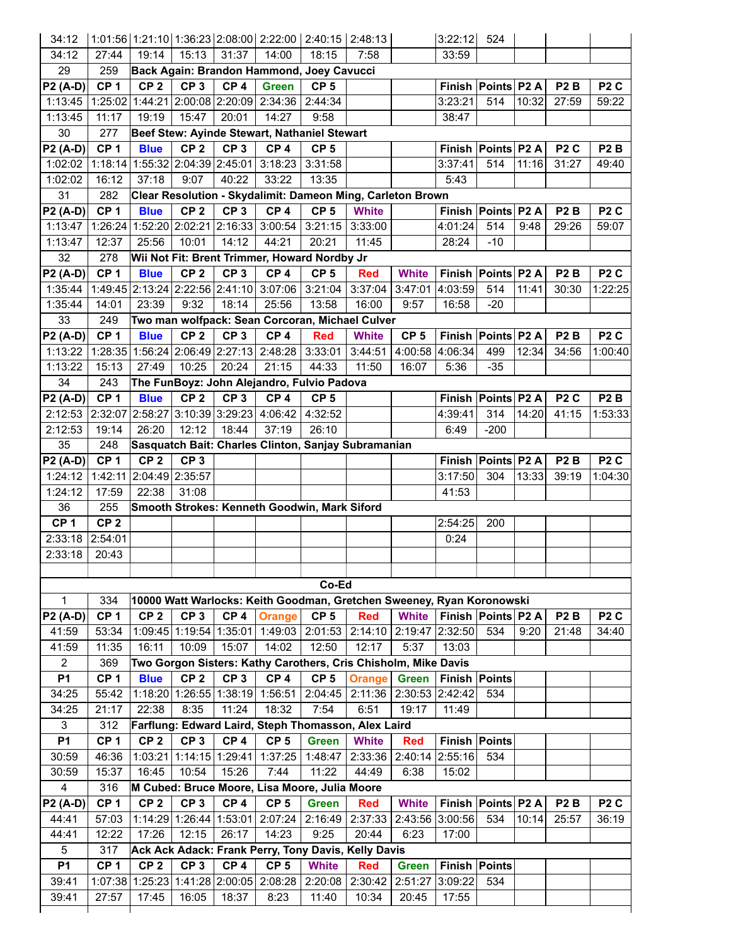| 34:12                        |                 |                 |                 |                         | $(1:01:56 1:21:10 1:36:23 2:08:00 2:22:00 2:40:15 2:48:13)$           |                 |                 |                 | 3:22:12              | 524                    |       |                  |                  |
|------------------------------|-----------------|-----------------|-----------------|-------------------------|-----------------------------------------------------------------------|-----------------|-----------------|-----------------|----------------------|------------------------|-------|------------------|------------------|
| 34:12                        | 27:44           | 19:14           | 15:13           | 31:37                   | 14:00                                                                 | 18:15           | 7:58            |                 | 33:59                |                        |       |                  |                  |
| 29                           | 259             |                 |                 |                         | Back Again: Brandon Hammond, Joey Cavucci                             |                 |                 |                 |                      |                        |       |                  |                  |
| <b>P2 (A-D)</b>              | CP <sub>1</sub> | CP <sub>2</sub> | CP <sub>3</sub> | CP <sub>4</sub>         | <b>Green</b>                                                          | CP <sub>5</sub> |                 |                 |                      | Finish Points P2 A     |       | P <sub>2</sub> B | P <sub>2</sub> C |
| 1:13:45                      |                 |                 |                 |                         | 1:25:02 1:44:21 2:00:08 2:20:09 2:34:36                               | 2:44:34         |                 |                 | 3:23:21              | 514                    | 10:32 | 27:59            | 59:22            |
| 1:13:45                      | 11:17           | 19:19           | 15:47           | 20:01                   | 14:27                                                                 | 9:58            |                 |                 | 38:47                |                        |       |                  |                  |
| 30                           | 277             |                 |                 |                         | Beef Stew: Ayinde Stewart, Nathaniel Stewart                          |                 |                 |                 |                      |                        |       |                  |                  |
| <b>P2 (A-D)</b>              | CP <sub>1</sub> | <b>Blue</b>     | CP <sub>2</sub> | CP <sub>3</sub>         | CP <sub>4</sub>                                                       | CP <sub>5</sub> |                 |                 |                      | Finish Points P2 A     |       | P <sub>2</sub> C | P <sub>2</sub> B |
| 1:02:02                      |                 |                 |                 |                         | 1:18:14 1:55:32 2:04:39 2:45:01 3:18:23                               | 3:31:58         |                 |                 | 3:37:41              | 514                    | 11:16 | 31:27            | 49:40            |
| 1:02:02                      | 16:12           | 37:18           | 9:07            | 40:22                   | 33:22                                                                 | 13:35           |                 |                 | 5:43                 |                        |       |                  |                  |
| 31                           | 282             |                 |                 |                         | Clear Resolution - Skydalimit: Dameon Ming, Carleton Brown            |                 |                 |                 |                      |                        |       |                  |                  |
| $P2(A-D)$                    | CP <sub>1</sub> | <b>Blue</b>     | CP <sub>2</sub> | CP <sub>3</sub>         | CP <sub>4</sub>                                                       | CP <sub>5</sub> | <b>White</b>    |                 |                      | Finish Points P2 A     |       | P <sub>2</sub> B | P <sub>2</sub> C |
| 1:13:47                      |                 |                 |                 |                         | 1:26:24 1:52:20 2:02:21 2:16:33 3:00:54                               | 3:21:15         | 3:33:00         |                 | 4:01:24              | 514                    | 9:48  | 29:26            | 59:07            |
| 1:13:47                      | 12:37           | 25:56           | 10:01           | 14:12                   | 44:21                                                                 | 20:21           | 11:45           |                 | 28:24                | $-10$                  |       |                  |                  |
| 32                           | 278             |                 |                 |                         | Wii Not Fit: Brent Trimmer, Howard Nordby Jr                          |                 |                 |                 |                      |                        |       |                  |                  |
| <b>P2 (A-D)</b>              | CP <sub>1</sub> | <b>Blue</b>     | CP <sub>2</sub> | CP <sub>3</sub>         | CP <sub>4</sub>                                                       | CP <sub>5</sub> | <b>Red</b>      | <b>White</b>    |                      | Finish Points P2 A     |       | P <sub>2</sub> B | P <sub>2</sub> C |
| 1:35:44                      |                 |                 |                 |                         | 1:49:45 2:13:24 2:22:56 2:41:10 3:07:06                               |                 | 3:21:04 3:37:04 | 3:47:01         | 4:03:59              | 514                    | 11:41 | 30:30            | 1:22:25          |
| 1:35:44                      | 14:01           | 23:39           | 9:32            | 18:14                   | 25:56                                                                 | 13:58           | 16:00           | 9:57            | 16:58                | $-20$                  |       |                  |                  |
| 33                           | 249             |                 |                 |                         | Two man wolfpack: Sean Corcoran, Michael Culver                       |                 |                 |                 |                      |                        |       |                  |                  |
| $P2(A-D)$                    | CP <sub>1</sub> | <b>Blue</b>     | CP <sub>2</sub> | CP <sub>3</sub>         | CP <sub>4</sub>                                                       | <b>Red</b>      | <b>White</b>    | CP <sub>5</sub> |                      | Finish   Points   P2 A |       | P <sub>2</sub> B | P <sub>2</sub> C |
| 1:13:22                      |                 |                 |                 |                         | 1:28:35 1:56:24 2:06:49 2:27:13 2:48:28                               | 3:33:01         | 3:44:51         | 4:00:58         | 4:06:34              | 499                    | 12:34 | 34:56            | 1:00:40          |
| 1:13:22                      | 15:13           | 27:49           | 10:25           | 20:24                   | 21:15                                                                 | 44:33           | 11:50           | 16:07           | 5:36                 | $-35$                  |       |                  |                  |
| 34                           | 243             |                 |                 |                         | The FunBoyz: John Alejandro, Fulvio Padova                            |                 |                 |                 |                      |                        |       |                  |                  |
| $P2(A-D)$                    | CP <sub>1</sub> | <b>Blue</b>     | CP <sub>2</sub> | CP <sub>3</sub>         | CP <sub>4</sub>                                                       | CP <sub>5</sub> |                 |                 |                      | Finish Points P2 A     |       | P <sub>2</sub> C | P <sub>2</sub> B |
| 2:12:53 2:32:07              |                 |                 |                 |                         | 2:58:27 3:10:39 3:29:23 4:06:42                                       | 4:32:52         |                 |                 | 4:39:41              | 314                    | 14:20 | 41:15            | 1:53:33          |
| 2:12:53                      | 19:14           | 26:20           | 12:12           | 18:44                   | 37:19                                                                 | 26:10           |                 |                 | 6:49                 | $-200$                 |       |                  |                  |
| 35                           | 248             |                 |                 |                         | Sasquatch Bait: Charles Clinton, Sanjay Subramanian                   |                 |                 |                 |                      |                        |       |                  |                  |
| $P2 (A-D)$                   | CP <sub>1</sub> | CP <sub>2</sub> | CP <sub>3</sub> |                         |                                                                       |                 |                 |                 |                      | Finish Points P2 A     |       | P <sub>2</sub> B | P <sub>2</sub> C |
| 1:24:12                      | 1:42:11         | 2:04:49 2:35:57 |                 |                         |                                                                       |                 |                 |                 | 3:17:50              | 304                    | 13:33 | 39:19            | 1:04:30          |
| 1:24:12                      | 17:59           | 22:38           | 31:08           |                         |                                                                       |                 |                 |                 | 41:53                |                        |       |                  |                  |
| 36                           | 255             |                 |                 |                         | Smooth Strokes: Kenneth Goodwin, Mark Siford                          |                 |                 |                 |                      |                        |       |                  |                  |
| CP <sub>1</sub>              | CP <sub>2</sub> |                 |                 |                         |                                                                       |                 |                 |                 | 2:54:25              | 200                    |       |                  |                  |
| 2:33:18 2:54:01              |                 |                 |                 |                         |                                                                       |                 |                 |                 | 0:24                 |                        |       |                  |                  |
| 2:33:18                      | 20:43           |                 |                 |                         |                                                                       |                 |                 |                 |                      |                        |       |                  |                  |
|                              |                 |                 |                 |                         |                                                                       |                 |                 |                 |                      |                        |       |                  |                  |
|                              |                 |                 |                 |                         |                                                                       | Co-Ed           |                 |                 |                      |                        |       |                  |                  |
| $\mathbf{1}$                 | 334             |                 |                 |                         | 10000 Watt Warlocks: Keith Goodman, Gretchen Sweeney, Ryan Koronowski |                 |                 |                 |                      |                        |       |                  |                  |
| <b>P2 (A-D)</b>              | CP <sub>1</sub> | CP <sub>2</sub> | CP <sub>3</sub> | CP <sub>4</sub>         | <b>Orange</b>                                                         | CP <sub>5</sub> | <b>Red</b>      | <b>White</b>    | Finish Points P2 A   |                        |       | P <sub>2</sub> B | P <sub>2</sub> C |
| 41:59                        | 53:34           |                 |                 |                         | 1:09:45 1:19:54 1:35:01 1:49:03                                       | 2:01:53         | 2:14:10         | 2:19:47 2:32:50 |                      | 534                    | 9:20  | 21:48            | 34:40            |
| 41:59                        | 11:35           | 16:11           | 10:09           | 15:07                   | 14:02                                                                 | 12:50           | 12:17           | 5:37            | 13:03                |                        |       |                  |                  |
| $\overline{2}$               | 369             |                 |                 |                         | Two Gorgon Sisters: Kathy Carothers, Cris Chisholm, Mike Davis        |                 |                 |                 |                      |                        |       |                  |                  |
| <b>P1</b>                    | CP <sub>1</sub> | <b>Blue</b>     | CP <sub>2</sub> | CP <sub>3</sub>         | CP <sub>4</sub>                                                       | CP <sub>5</sub> | <b>Orange</b>   | <b>Green</b>    | <b>Finish Points</b> |                        |       |                  |                  |
| 34:25                        | 55:42           |                 |                 |                         | 1:18:20 1:26:55 1:38:19 1:56:51                                       | 2:04:45         | 2:11:36         | 2:30:53 2:42:42 |                      | 534                    |       |                  |                  |
| 34:25                        | 21:17           | 22:38           | 8:35            | 11:24                   | 18:32                                                                 | 7:54            | 6:51            | 19:17           | 11:49                |                        |       |                  |                  |
|                              |                 |                 |                 |                         | Farflung: Edward Laird, Steph Thomasson, Alex Laird                   |                 |                 |                 |                      |                        |       |                  |                  |
| 3                            | 312             |                 |                 |                         |                                                                       |                 | <b>White</b>    | <b>Red</b>      |                      | Finish Points          |       |                  |                  |
| <b>P1</b>                    | CP <sub>1</sub> | CP <sub>2</sub> | CP <sub>3</sub> | CP <sub>4</sub>         | CP <sub>5</sub>                                                       | <b>Green</b>    |                 |                 |                      |                        |       |                  |                  |
| 30:59                        | 46:36           |                 |                 | 1:03:21 1:14:15 1:29:41 | 1:37:25                                                               | 1:48:47         | 2:33:36         |                 | 2:40:14 2:55:16      | 534                    |       |                  |                  |
| 30:59                        | 15:37           | 16:45           | 10:54           | 15:26                   | 7:44                                                                  | 11:22           | 44:49           | 6:38            | 15:02                |                        |       |                  |                  |
| 4                            | 316             |                 |                 |                         | M Cubed: Bruce Moore, Lisa Moore, Julia Moore                         |                 |                 |                 |                      |                        |       |                  |                  |
|                              | CP <sub>1</sub> | CP <sub>2</sub> | CP <sub>3</sub> | CP <sub>4</sub>         | CP <sub>5</sub>                                                       | <b>Green</b>    | <b>Red</b>      | <b>White</b>    |                      | Finish Points P2 A     |       | P <sub>2</sub> B | P <sub>2</sub> C |
| 44:41                        | 57:03           |                 |                 |                         | 1:14:29 1:26:44 1:53:01 2:07:24                                       | 2:16:49         | 2:37:33         |                 | 2:43:56 3:00:56      | 534                    | 10:14 | 25:57            | 36:19            |
| 44:41                        | 12:22           | 17:26           | 12:15           | 26:17                   | 14:23                                                                 | 9:25            | 20:44           | 6:23            | 17:00                |                        |       |                  |                  |
| $5\phantom{.0}$              | 317             |                 |                 |                         | Ack Ack Adack: Frank Perry, Tony Davis, Kelly Davis                   |                 |                 |                 |                      |                        |       |                  |                  |
| <b>P2 (A-D)</b><br><b>P1</b> | CP <sub>1</sub> | CP <sub>2</sub> | CP <sub>3</sub> | CP <sub>4</sub>         | CP <sub>5</sub>                                                       | <b>White</b>    | <b>Red</b>      | Green           | Finish Points        |                        |       |                  |                  |
| 39:41<br>39:41               |                 |                 |                 |                         | 1:07:38 1:25:23 1:41:28 2:00:05 2:08:28                               | 2:20:08         | 2:30:42         | 2:51:27         | 3:09:22              | 534                    |       |                  |                  |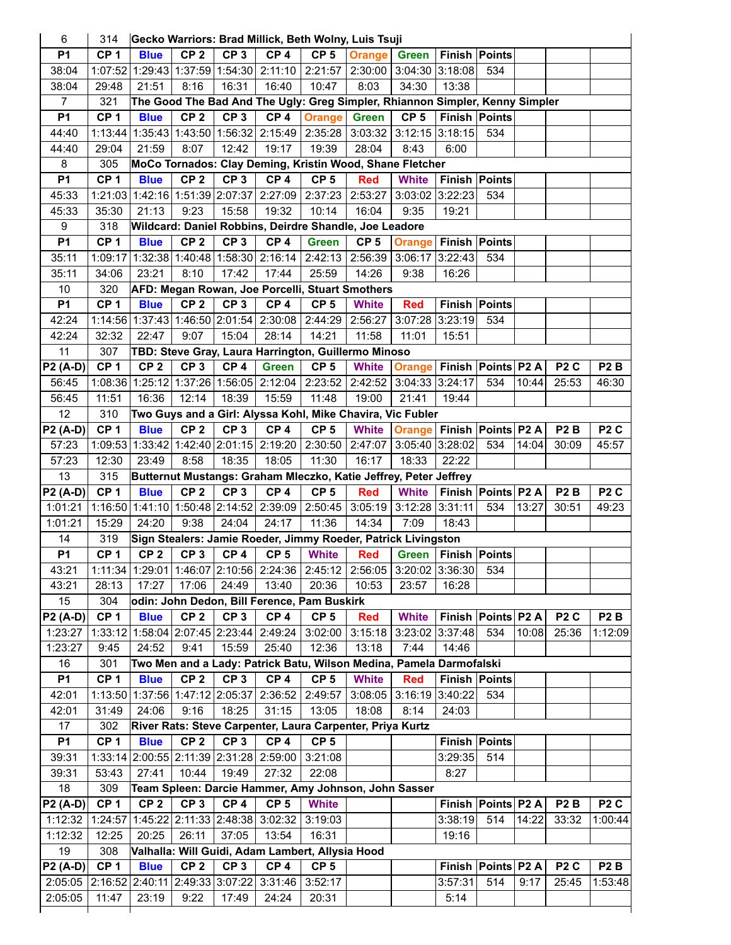| 6                   | 314             |                 |                 |                 | Gecko Warriors: Brad Millick, Beth Wolny, Luis Tsuji                         |                  |                 |                                  |                                |                        |       |                  |                  |
|---------------------|-----------------|-----------------|-----------------|-----------------|------------------------------------------------------------------------------|------------------|-----------------|----------------------------------|--------------------------------|------------------------|-------|------------------|------------------|
| P <sub>1</sub>      | CP <sub>1</sub> | <b>Blue</b>     | CP <sub>2</sub> | CP <sub>3</sub> | CP <sub>4</sub>                                                              | CP <sub>5</sub>  | <b>Orange</b>   | <b>Green</b>                     | <b>Finish Points</b>           |                        |       |                  |                  |
| 38:04               |                 |                 |                 |                 | 1:07:52 1:29:43 1:37:59 1:54:30 2:11:10                                      | 2:21:57          | 2:30:00         | 3:04:30 3:18:08                  |                                | 534                    |       |                  |                  |
| 38:04               | 29:48           | 21:51           | 8:16            | 16:31           | 16:40                                                                        | 10:47            | 8:03            | 34:30                            | 13:38                          |                        |       |                  |                  |
| 7                   | 321             |                 |                 |                 | The Good The Bad And The Ugly: Greg Simpler, Rhiannon Simpler, Kenny Simpler |                  |                 |                                  |                                |                        |       |                  |                  |
| <b>P1</b>           | CP <sub>1</sub> | <b>Blue</b>     | CP <sub>2</sub> | CP <sub>3</sub> | CP <sub>4</sub>                                                              | <b>Orange</b>    | <b>Green</b>    | CP <sub>5</sub>                  | <b>Finish Points</b>           |                        |       |                  |                  |
| 44:40               | 1:13:44         |                 | 1:35:43 1:43:50 | 1:56:32         | 2:15:49                                                                      | 2:35:28          | 3:03:32         | $3:12:15$ 3:18:15                |                                | 534                    |       |                  |                  |
| 44:40               | 29:04           | 21:59           | 8:07            | 12:42           | 19:17                                                                        | 19:39            | 28:04           | 8:43                             | 6:00                           |                        |       |                  |                  |
| 8                   | 305             |                 |                 |                 | MoCo Tornados: Clay Deming, Kristin Wood, Shane Fletcher                     |                  |                 |                                  |                                |                        |       |                  |                  |
| P <sub>1</sub>      | CP <sub>1</sub> | <b>Blue</b>     | CP <sub>2</sub> | CP <sub>3</sub> | CP <sub>4</sub>                                                              | CP <sub>5</sub>  | <b>Red</b>      | <b>White</b>                     | <b>Finish Points</b>           |                        |       |                  |                  |
| 45:33               |                 |                 |                 |                 | 1:21:03 1:42:16 1:51:39 2:07:37 2:27:09                                      | 2:37:23          | 2:53:27         | 3:03:02 3:22:23                  |                                | 534                    |       |                  |                  |
| 45:33               | 35:30           | 21:13           | 9:23            | 15:58           | 19:32                                                                        | 10:14            | 16:04           | 9:35                             | 19:21                          |                        |       |                  |                  |
| 9                   | 318             |                 |                 |                 | Wildcard: Daniel Robbins, Deirdre Shandle, Joe Leadore                       |                  |                 |                                  |                                |                        |       |                  |                  |
| <b>P1</b>           | CP <sub>1</sub> | <b>Blue</b>     | CP <sub>2</sub> | CP <sub>3</sub> | CP <sub>4</sub>                                                              | <b>Green</b>     | CP <sub>5</sub> | Orange                           | Finish Points                  |                        |       |                  |                  |
|                     |                 |                 |                 |                 |                                                                              |                  |                 |                                  |                                |                        |       |                  |                  |
| 35:11               | 1:09:17         |                 |                 |                 | 1:32:38 1:40:48 1:58:30 2:16:14                                              | 2:42:13          | 2:56:39         | 3:06:17 3:22:43                  |                                | 534                    |       |                  |                  |
| 35:11               | 34:06           | 23:21           | 8:10            | 17:42           | 17:44                                                                        | 25:59            | 14:26           | 9:38                             | 16:26                          |                        |       |                  |                  |
| 10                  | 320             |                 |                 |                 | AFD: Megan Rowan, Joe Porcelli, Stuart Smothers                              |                  |                 |                                  |                                |                        |       |                  |                  |
| <b>P1</b>           | CP <sub>1</sub> | <b>Blue</b>     | CP <sub>2</sub> | CP <sub>3</sub> | CP <sub>4</sub>                                                              | CP <sub>5</sub>  | <b>White</b>    | <b>Red</b>                       | <b>Finish Points</b>           |                        |       |                  |                  |
| 42:24               |                 |                 |                 |                 | 1:14:56 1:37:43 1:46:50 2:01:54 2:30:08                                      | 2:44:29          | 2:56:27         | 3:07:28 3:23:19                  |                                | 534                    |       |                  |                  |
| 42:24               | 32:32           | 22:47           | 9:07            | 15:04           | 28:14                                                                        | 14:21            | 11:58           | 11:01                            | 15:51                          |                        |       |                  |                  |
| 11                  | 307             |                 |                 |                 | TBD: Steve Gray, Laura Harrington, Guillermo Minoso                          |                  |                 |                                  |                                |                        |       |                  |                  |
| <b>P2 (A-D)</b>     | CP <sub>1</sub> | CP <sub>2</sub> | CP <sub>3</sub> | CP <sub>4</sub> | <b>Green</b>                                                                 | CP <sub>5</sub>  | <b>White</b>    | Orange Finish Points P2 A        |                                |                        |       | P <sub>2</sub> C | P <sub>2</sub> B |
| 56:45               |                 |                 |                 |                 | 1:08:36 1:25:12 1:37:26 1:56:05 2:12:04                                      | 2:23:52          | 2:42:52         | 3:04:33 3:24:17                  |                                | 534                    | 10:44 | 25:53            | 46:30            |
| 56:45               | 11:51           | 16:36           | 12:14           | 18:39           | 15:59                                                                        | 11:48            | 19:00           | 21:41                            | 19:44                          |                        |       |                  |                  |
| 12 <sub>2</sub>     | 310             |                 |                 |                 | Two Guys and a Girl: Alyssa Kohl, Mike Chavira, Vic Fubler                   |                  |                 |                                  |                                |                        |       |                  |                  |
| <b>P2 (A-D)</b>     | CP <sub>1</sub> | <b>Blue</b>     | CP <sub>2</sub> | CP <sub>3</sub> | CP <sub>4</sub>                                                              | CP <sub>5</sub>  | <b>White</b>    | <b>Orange Finish Points P2 A</b> |                                |                        |       | P <sub>2</sub> B | P <sub>2</sub> C |
| 57:23               | 1:09:53         |                 |                 |                 | 1:33:42 1:42:40 2:01:15 2:19:20                                              | 2:30:50          | 2:47:07         | 3:05:40 3:28:02                  |                                | 534                    | 14:04 | 30:09            | 45:57            |
| 57:23               | 12:30           | 23:49           | 8:58            | 18:35           | 18:05                                                                        | 11:30            | 16:17           | 18:33                            | 22:22                          |                        |       |                  |                  |
|                     |                 |                 |                 |                 |                                                                              |                  |                 |                                  |                                |                        |       |                  |                  |
| 13                  | 315             |                 |                 |                 | Butternut Mustangs: Graham Mleczko, Katie Jeffrey, Peter Jeffrey             |                  |                 |                                  |                                |                        |       |                  |                  |
| P2 (A-D)            | CP <sub>1</sub> | <b>Blue</b>     | CP <sub>2</sub> | CP <sub>3</sub> | CP <sub>4</sub>                                                              | CP <sub>5</sub>  | <b>Red</b>      | <b>White</b>                     | Finish Points P2 A             |                        |       | P <sub>2</sub> B | P <sub>2</sub> C |
| 1:01:21             |                 |                 |                 |                 | 1:16:50 1:41:10 1:50:48 2:14:52 2:39:09                                      | 2:50:45          | 3:05:19         | $3:12:28$ 3:31:11                |                                | 534                    | 13:27 | 30:51            | 49:23            |
| 1:01:21             | 15:29           | 24:20           | 9:38            | 24:04           | 24:17                                                                        | 11:36            | 14:34           | 7:09                             | 18:43                          |                        |       |                  |                  |
| 14                  | 319             |                 |                 |                 | Sign Stealers: Jamie Roeder, Jimmy Roeder, Patrick Livingston                |                  |                 |                                  |                                |                        |       |                  |                  |
| <b>P1</b>           | CP <sub>1</sub> | CP <sub>2</sub> | CP <sub>3</sub> | CP <sub>4</sub> | CP <sub>5</sub>                                                              | <b>White</b>     | <b>Red</b>      |                                  | <b>Green   Finish   Points</b> |                        |       |                  |                  |
| 43:21               |                 |                 |                 |                 | 1:11:34 1:29:01 1:46:07 2:10:56 2:24:36 2:45:12 2:56:05 3:20:02 3:36:30      |                  |                 |                                  |                                | 534                    |       |                  |                  |
| 43:21               | 28:13           | 17:27           | 17:06           | 24:49           | 13:40                                                                        | 20:36            | 10:53           | 23:57                            | 16:28                          |                        |       |                  |                  |
| 15                  | 304             |                 |                 |                 | odin: John Dedon, Bill Ference, Pam Buskirk                                  |                  |                 |                                  |                                |                        |       |                  |                  |
|                     |                 |                 |                 |                 |                                                                              |                  |                 |                                  |                                |                        |       | P <sub>2</sub> C |                  |
| P2 (A-D)<br>1:23:27 | CP <sub>1</sub> | <b>Blue</b>     | CP <sub>2</sub> | CP <sub>3</sub> | CP <sub>4</sub>                                                              | CP <sub>5</sub>  | <b>Red</b>      | <b>White</b>                     | Finish   Points   P2 A         | 534                    | 10:08 | 25:36            | P <sub>2</sub> B |
| 1:23:27             | 9:45            | 24:52           | 9:41            | 15:59           | 1:33:12 1:58:04 2:07:45 2:23:44 2:49:24<br>25:40                             | 3:02:00<br>12:36 | 3:15:18         | 3:23:02 3:37:48<br>7:44          | 14:46                          |                        |       |                  | 1:12:09          |
|                     |                 |                 |                 |                 |                                                                              |                  | 13:18           |                                  |                                |                        |       |                  |                  |
| 16                  | 301             |                 |                 |                 | Two Men and a Lady: Patrick Batu, Wilson Medina, Pamela Darmofalski          |                  |                 |                                  |                                |                        |       |                  |                  |
| <b>P1</b>           | CP <sub>1</sub> | <b>Blue</b>     | CP <sub>2</sub> | CP <sub>3</sub> | CP <sub>4</sub>                                                              | CP <sub>5</sub>  | <b>White</b>    | <b>Red</b>                       |                                | <b>Finish Points</b>   |       |                  |                  |
| 42:01               | 1:13:50         |                 |                 |                 | 1:37:56 1:47:12 2:05:37 2:36:52                                              | 2:49:57          | 3:08:05         | 3:16:19 3:40:22                  |                                | 534                    |       |                  |                  |
| 42:01               | 31:49           | 24:06           | 9:16            | 18:25           | 31:15                                                                        | 13:05            | 18:08           | 8:14                             | 24:03                          |                        |       |                  |                  |
| 17                  | 302             |                 |                 |                 | River Rats: Steve Carpenter, Laura Carpenter, Priya Kurtz                    |                  |                 |                                  |                                |                        |       |                  |                  |
| <b>P1</b>           | CP <sub>1</sub> | <b>Blue</b>     | CP <sub>2</sub> | CP <sub>3</sub> | CP <sub>4</sub>                                                              | CP <sub>5</sub>  |                 |                                  |                                | <b>Finish Points</b>   |       |                  |                  |
| 39:31               |                 |                 |                 |                 | 1:33:14 2:00:55 2:11:39 2:31:28 2:59:00                                      | 3:21:08          |                 |                                  | 3:29:35                        | 514                    |       |                  |                  |
| 39:31               | 53:43           | 27:41           | 10:44           | 19:49           | 27:32                                                                        | 22:08            |                 |                                  | 8:27                           |                        |       |                  |                  |
| 18                  | 309             |                 |                 |                 | Team Spleen: Darcie Hammer, Amy Johnson, John Sasser                         |                  |                 |                                  |                                |                        |       |                  |                  |
| P2 (A-D)            | CP <sub>1</sub> | CP <sub>2</sub> | CP <sub>3</sub> | CP <sub>4</sub> | CP <sub>5</sub>                                                              | <b>White</b>     |                 |                                  |                                | Finish   Points   P2 A |       | P <sub>2</sub> B | P <sub>2</sub> C |
| 1:12:32             |                 |                 |                 |                 | 1:24:57 1:45:22 2:11:33 2:48:38 3:02:32                                      | 3:19:03          |                 |                                  | 3:38:19                        | 514                    | 14:22 | 33:32            | 1:00:44          |
| 1:12:32             | 12:25           | 20:25           | 26:11           | 37:05           | 13:54                                                                        | 16:31            |                 |                                  | 19:16                          |                        |       |                  |                  |
| 19                  | 308             |                 |                 |                 | Valhalla: Will Guidi, Adam Lambert, Allysia Hood                             |                  |                 |                                  |                                |                        |       |                  |                  |
| P2 (A-D)            | CP <sub>1</sub> | <b>Blue</b>     | CP <sub>2</sub> | CP <sub>3</sub> | CP <sub>4</sub>                                                              | CP <sub>5</sub>  |                 |                                  | Finish Points P2 A             |                        |       | P <sub>2</sub> C | P <sub>2</sub> B |
| 2:05:05<br>2:05:05  | 11:47           | 23:19           | 9:22            | 17:49           | 2:16:52 2:40:11 2:49:33 3:07:22 3:31:46<br>24:24                             | 3:52:17<br>20:31 |                 |                                  | 3:57:31<br>5:14                | 514                    | 9:17  | 25:45            | 1:53:48          |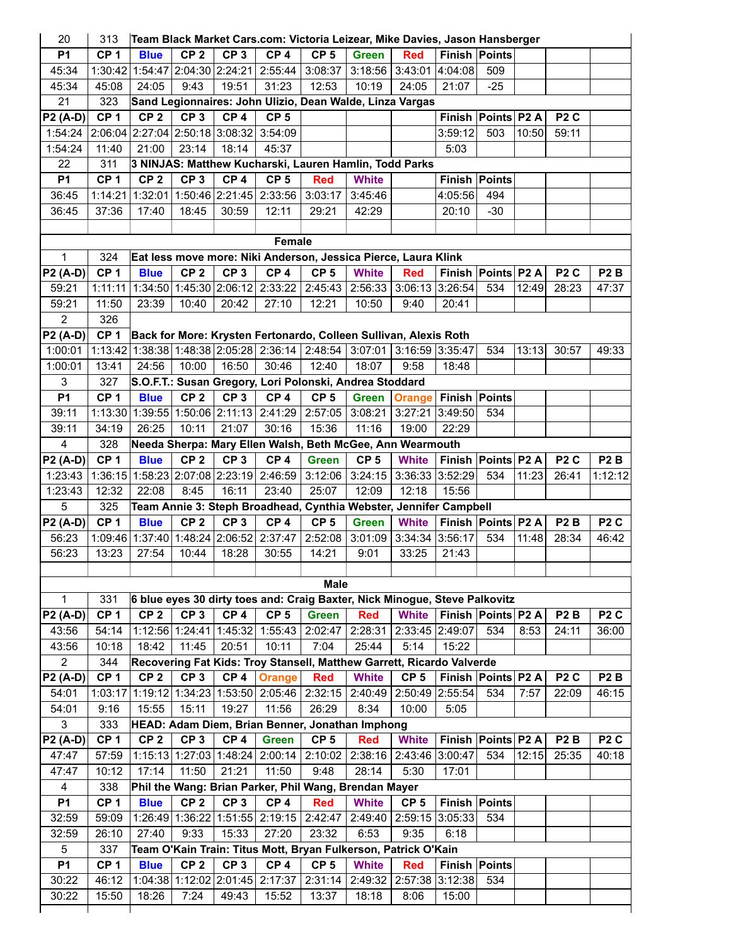| 20                                              | 313             | Team Black Market Cars.com: Victoria Leizear, Mike Davies, Jason Hansberger |                                 |                 |                                 |                  |                                                                            |                 |                      |       |       |                  |                  |
|-------------------------------------------------|-----------------|-----------------------------------------------------------------------------|---------------------------------|-----------------|---------------------------------|------------------|----------------------------------------------------------------------------|-----------------|----------------------|-------|-------|------------------|------------------|
| P <sub>1</sub>                                  | CP <sub>1</sub> | <b>Blue</b>                                                                 | CP <sub>2</sub>                 | CP <sub>3</sub> | CP <sub>4</sub>                 | CP <sub>5</sub>  | <b>Green</b>                                                               | <b>Red</b>      | Finish Points        |       |       |                  |                  |
| 45:34                                           | 1:30:42         |                                                                             | 1:54:47 2:04:30 2:24:21         |                 | 2:55:44                         | 3:08:37          | 3:18:56                                                                    | 3:43:01         | 4:04:08              | 509   |       |                  |                  |
| 45:34                                           | 45:08           | 24:05                                                                       | 9:43                            | 19:51           | 31:23                           | 12:53            | 10:19                                                                      | 24:05           | 21:07                | $-25$ |       |                  |                  |
| 21                                              | 323             |                                                                             |                                 |                 |                                 |                  | Sand Legionnaires: John Ulizio, Dean Walde, Linza Vargas                   |                 |                      |       |       |                  |                  |
| <b>P2 (A-D)</b>                                 | CP <sub>1</sub> | CP <sub>2</sub>                                                             | CP <sub>3</sub>                 | CP <sub>4</sub> | CP <sub>5</sub>                 |                  |                                                                            |                 | Finish Points P2 A   |       |       | P <sub>2</sub> C |                  |
| 1:54:24                                         |                 | 2:06:04 2:27:04 2:50:18 3:08:32 3:54:09                                     |                                 |                 |                                 |                  |                                                                            |                 | 3:59:12              | 503   | 10:50 | 59:11            |                  |
| 1:54:24                                         | 11:40           | 21:00                                                                       | 23:14                           | 18:14           | 45:37                           |                  |                                                                            |                 | 5:03                 |       |       |                  |                  |
| 22                                              | 311             |                                                                             |                                 |                 |                                 |                  | 3 NINJAS: Matthew Kucharski, Lauren Hamlin, Todd Parks                     |                 |                      |       |       |                  |                  |
| <b>P1</b>                                       | CP <sub>1</sub> | CP <sub>2</sub>                                                             | CP <sub>3</sub>                 | CP <sub>4</sub> | CP <sub>5</sub>                 | <b>Red</b>       | <b>White</b>                                                               |                 | Finish Points        |       |       |                  |                  |
| 36:45                                           | 1:14:21         |                                                                             |                                 |                 | 1:32:01 1:50:46 2:21:45 2:33:56 | 3:03:17          | 3:45:46                                                                    |                 | 4:05:56              | 494   |       |                  |                  |
| 36:45                                           | 37:36           | 17:40                                                                       | 18:45                           | 30:59           | 12:11                           | 29:21            | 42:29                                                                      |                 | 20:10                | $-30$ |       |                  |                  |
|                                                 |                 |                                                                             |                                 |                 |                                 |                  |                                                                            |                 |                      |       |       |                  |                  |
|                                                 |                 |                                                                             |                                 |                 | Female                          |                  |                                                                            |                 |                      |       |       |                  |                  |
| $\mathbf{1}$                                    | 324             |                                                                             |                                 |                 |                                 |                  | Eat less move more: Niki Anderson, Jessica Pierce, Laura Klink             |                 |                      |       |       |                  |                  |
| <b>P2 (A-D)</b>                                 | CP <sub>1</sub> | <b>Blue</b>                                                                 | CP <sub>2</sub>                 | CP <sub>3</sub> | CP <sub>4</sub>                 | CP <sub>5</sub>  | <b>White</b>                                                               | <b>Red</b>      | Finish Points P2 A   |       |       | P <sub>2</sub> C | P <sub>2</sub> B |
| 59:21                                           | 1:11:11         |                                                                             |                                 |                 | 1:34:50 1:45:30 2:06:12 2:33:22 |                  | $2:45:43$ 2:56:33                                                          | 3:06:13         | 3:26:54              | 534   | 12:49 | 28:23            | 47:37            |
| 59:21                                           | 11:50           | 23:39                                                                       | 10:40                           | 20:42           | 27:10                           | 12:21            | 10:50                                                                      | 9:40            | 20:41                |       |       |                  |                  |
| $\overline{2}$                                  | 326             |                                                                             |                                 |                 |                                 |                  |                                                                            |                 |                      |       |       |                  |                  |
| <b>P2 (A-D)</b>                                 | CP <sub>1</sub> |                                                                             |                                 |                 |                                 |                  | Back for More: Krysten Fertonardo, Colleen Sullivan, Alexis Roth           |                 |                      |       |       |                  |                  |
| 1:00:01                                         |                 |                                                                             |                                 |                 |                                 |                  | 1:13:42 1:38:38 1:48:38 2:05:28 2:36:14 2:48:54 3:07:01                    | 3:16:59 3:35:47 |                      | 534   | 13:13 | 30:57            | 49:33            |
| 1:00:01                                         | 13:41           | 24:56                                                                       | 10:00                           | 16:50           | 30:46                           | 12:40            | 18:07                                                                      | 9:58            | 18:48                |       |       |                  |                  |
| 3                                               | 327             |                                                                             |                                 |                 |                                 |                  | S.O.F.T.: Susan Gregory, Lori Polonski, Andrea Stoddard                    |                 |                      |       |       |                  |                  |
| <b>P1</b>                                       | CP <sub>1</sub> | <b>Blue</b>                                                                 | CP <sub>2</sub>                 | CP <sub>3</sub> | CP <sub>4</sub>                 | CP <sub>5</sub>  | <b>Green</b>                                                               | Orange          | Finish Points        |       |       |                  |                  |
| 39:11                                           |                 | 1:13:30 1:39:55 1:50:06 2:11:13 2:41:29                                     |                                 |                 |                                 | 2:57:05 3:08:21  |                                                                            | 3:27:21         | 3:49:50              | 534   |       |                  |                  |
| 39:11                                           | 34:19           | 26:25                                                                       | 10:11                           | 21:07           | 30:16                           | 15:36            | 11:16                                                                      | 19:00           | 22:29                |       |       |                  |                  |
| $\overline{4}$                                  | 328             |                                                                             |                                 |                 |                                 |                  | Needa Sherpa: Mary Ellen Walsh, Beth McGee, Ann Wearmouth                  |                 |                      |       |       |                  |                  |
| P2 (A-D)                                        | CP <sub>1</sub> | <b>Blue</b>                                                                 | CP <sub>2</sub>                 | CP <sub>3</sub> | CP <sub>4</sub>                 | <b>Green</b>     | CP <sub>5</sub>                                                            | <b>White</b>    | Finish Points P2 A   |       |       | P <sub>2</sub> C | P <sub>2</sub> B |
| 1:23:43                                         | 1:36:15         |                                                                             | 1:58:23 2:07:08 2:23:19 2:46:59 |                 |                                 | 3:12:06          | 3:24:15                                                                    | 3:36:33         | 3:52:29              | 534   | 11:23 | 26:41            | 1:12:12          |
| 1:23:43                                         | 12:32           | 22:08                                                                       | 8:45                            | 16:11           | 23:40                           | 25:07            | 12:09                                                                      | 12:18           | 15:56                |       |       |                  |                  |
| 5                                               | 325             |                                                                             |                                 |                 |                                 |                  | Team Annie 3: Steph Broadhead, Cynthia Webster, Jennifer Campbell          |                 |                      |       |       |                  |                  |
| P2 (A-D)                                        | CP <sub>1</sub> | <b>Blue</b>                                                                 | CP <sub>2</sub>                 | CP <sub>3</sub> | CP <sub>4</sub>                 | CP <sub>5</sub>  | <b>Green</b>                                                               | <b>White</b>    | Finish Points P2 A   |       |       | P <sub>2</sub> B | P <sub>2</sub> C |
| 56:23                                           |                 | 1:09:46 1:37:40 1:48:24 2:06:52 2:37:47                                     |                                 |                 |                                 | 2:52:08          | 3:01:09                                                                    | 3:34:34         | 3:56:17              | 534   | 11:48 | 28:34            | 46:42            |
| 56:23                                           | 13:23           | 27:54                                                                       | 10:44                           | 18:28           | 30:55                           | 14:21            | 9:01                                                                       | 33:25           | 21:43                |       |       |                  |                  |
|                                                 |                 |                                                                             |                                 |                 |                                 |                  |                                                                            |                 |                      |       |       |                  |                  |
|                                                 |                 |                                                                             |                                 |                 |                                 |                  |                                                                            |                 |                      |       |       |                  |                  |
|                                                 |                 |                                                                             |                                 |                 |                                 |                  |                                                                            |                 |                      |       |       |                  |                  |
| $\mathbf 1$                                     | 331             |                                                                             |                                 |                 |                                 | <b>Male</b>      | 6 blue eyes 30 dirty toes and: Craig Baxter, Nick Minogue, Steve Palkovitz |                 |                      |       |       |                  |                  |
|                                                 | CP <sub>1</sub> |                                                                             |                                 |                 |                                 |                  |                                                                            |                 |                      |       |       |                  | P <sub>2</sub> C |
|                                                 |                 | CP <sub>2</sub>                                                             | CP <sub>3</sub>                 | CP <sub>4</sub> | CP <sub>5</sub>                 | <b>Green</b>     | <b>Red</b>                                                                 | <b>White</b>    | Finish Points P2 A   |       |       | P <sub>2</sub> B |                  |
| 43:56                                           | 54:14           |                                                                             |                                 |                 | 1:12:56 1:24:41 1:45:32 1:55:43 | 2:02:47          | 2:28:31                                                                    | 2:33:45 2:49:07 |                      | 534   | 8:53  | 24:11            | 36:00            |
| 43:56                                           | 10:18           | 18:42                                                                       | 11:45                           | 20:51           | 10:11                           | 7:04             | 25:44                                                                      | 5:14            | 15:22                |       |       |                  |                  |
| $\overline{2}$                                  | 344             |                                                                             |                                 |                 |                                 |                  | Recovering Fat Kids: Troy Stansell, Matthew Garrett, Ricardo Valverde      |                 |                      |       |       |                  |                  |
|                                                 | CP <sub>1</sub> | CP <sub>2</sub>                                                             | CP <sub>3</sub>                 | CP <sub>4</sub> | Orange                          | <b>Red</b>       | <b>White</b>                                                               | CP <sub>5</sub> | Finish Points P2 A   |       |       | P <sub>2</sub> C | P <sub>2</sub> B |
| 54:01                                           | 1:03:17         |                                                                             |                                 |                 | 1:19:12 1:34:23 1:53:50 2:05:46 | 2:32:15          | 2:40:49                                                                    | 2:50:49         | 2:55:54              | 534   | 7:57  | 22:09            | 46:15            |
| 54:01                                           | 9:16            | 15:55                                                                       | 15:11                           | 19:27           | 11:56                           | 26:29            | 8:34                                                                       | 10:00           | 5:05                 |       |       |                  |                  |
| 3                                               | 333             |                                                                             |                                 |                 |                                 |                  | HEAD: Adam Diem, Brian Benner, Jonathan Imphong                            |                 |                      |       |       |                  |                  |
|                                                 | CP <sub>1</sub> | CP <sub>2</sub>                                                             | CP <sub>3</sub>                 | CP <sub>4</sub> | <b>Green</b>                    | CP <sub>5</sub>  | <b>Red</b>                                                                 | <b>White</b>    | Finish Points P2 A   |       |       | P <sub>2</sub> B | P <sub>2</sub> C |
| 47:47                                           | 57:59           |                                                                             | 1:15:13 1:27:03 1:48:24         |                 | 2:00:14                         |                  | 2:10:02 2:38:16                                                            | 2:43:46 3:00:47 |                      | 534   | 12:15 | 25:35            | 40:18            |
| 47:47                                           | 10:12           | 17:14                                                                       | 11:50                           | 21:21           | 11:50                           | 9:48             | 28:14                                                                      | 5:30            | 17:01                |       |       |                  |                  |
| 4                                               | 338             |                                                                             |                                 |                 |                                 |                  | Phil the Wang: Brian Parker, Phil Wang, Brendan Mayer                      |                 |                      |       |       |                  |                  |
| <b>P1</b>                                       | CP <sub>1</sub> | <b>Blue</b>                                                                 | CP <sub>2</sub>                 | CP <sub>3</sub> | CP <sub>4</sub>                 | <b>Red</b>       | <b>White</b>                                                               | CP <sub>5</sub> | <b>Finish Points</b> |       |       |                  |                  |
| 32:59                                           | 59:09           |                                                                             |                                 |                 | 1:26:49 1:36:22 1:51:55 2:19:15 |                  | 2:42:47 2:49:40                                                            | 2:59:15         | 3:05:33              | 534   |       |                  |                  |
| 32:59                                           | 26:10           | 27:40                                                                       | 9:33                            | 15:33           | 27:20                           | 23:32            | 6:53                                                                       | 9:35            | 6:18                 |       |       |                  |                  |
| $5\phantom{.0}$                                 | 337             |                                                                             |                                 |                 |                                 |                  | Team O'Kain Train: Titus Mott, Bryan Fulkerson, Patrick O'Kain             |                 |                      |       |       |                  |                  |
| <b>P2 (A-D)</b><br><b>P2 (A-D)</b><br><b>P1</b> | CP <sub>1</sub> | <b>Blue</b>                                                                 | CP <sub>2</sub>                 | CP <sub>3</sub> | CP <sub>4</sub>                 | CP <sub>5</sub>  | <b>White</b>                                                               | <b>Red</b>      | <b>Finish Points</b> |       |       |                  |                  |
| P2 (A-D)<br>30:22<br>30:22                      | 46:12<br>15:50  | 18:26                                                                       | 1:04:38 1:12:02 2:01:45<br>7:24 | 49:43           | 2:17:37<br>15:52                | 2:31:14<br>13:37 | 2:49:32<br>18:18                                                           | 2:57:38<br>8:06 | 3:12:38<br>15:00     | 534   |       |                  |                  |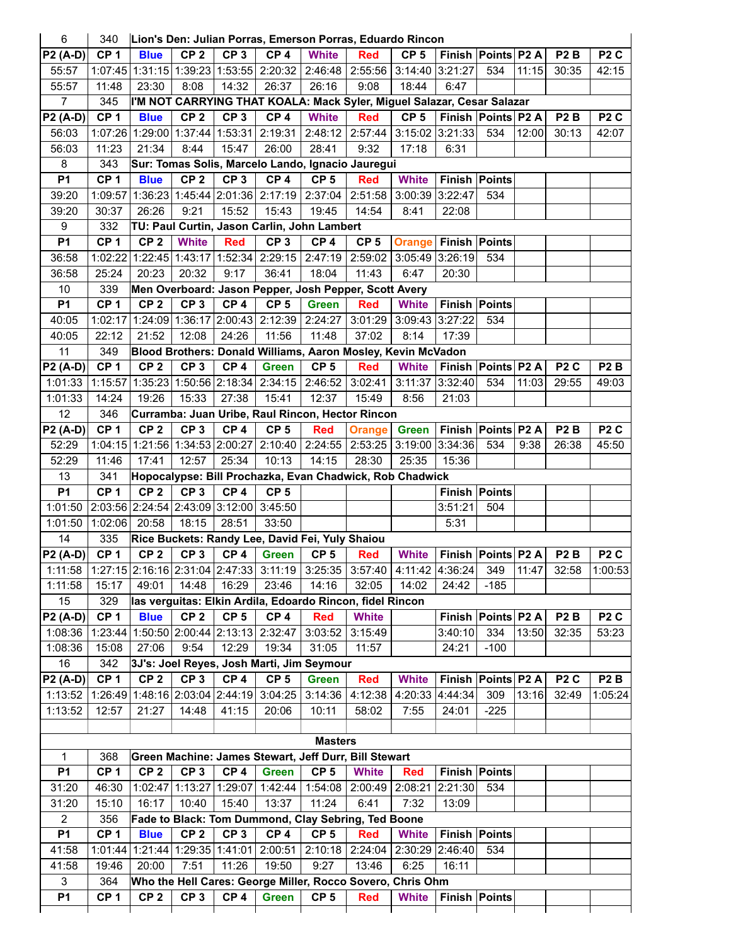| 6               | 340             |                                 |                         |                 | Lion's Den: Julian Porras, Emerson Porras, Eduardo Rincon                       |                 |                                 |                 |               |                        |       |                  |                  |
|-----------------|-----------------|---------------------------------|-------------------------|-----------------|---------------------------------------------------------------------------------|-----------------|---------------------------------|-----------------|---------------|------------------------|-------|------------------|------------------|
| <b>P2 (A-D)</b> | CP <sub>1</sub> | <b>Blue</b>                     | CP <sub>2</sub>         | CP <sub>3</sub> | CP <sub>4</sub>                                                                 | <b>White</b>    | <b>Red</b>                      | CP <sub>5</sub> |               | Finish   Points   P2 A |       | P <sub>2</sub> B | P <sub>2</sub> C |
| 55:57           | 1:07:45         |                                 |                         |                 | 1:31:15 1:39:23 1:53:55 2:20:32                                                 | 2:46:48         | 2:55:56 3:14:40 3:21:27         |                 |               | 534                    | 11:15 | 30:35            | 42:15            |
| 55:57           | 11:48           | 23:30                           | 8:08                    | 14:32           | 26:37                                                                           | 26:16           | 9:08                            | 18:44           | 6:47          |                        |       |                  |                  |
| $\overline{7}$  | 345             |                                 |                         |                 | I'M NOT CARRYING THAT KOALA: Mack Syler, Miguel Salazar, Cesar Salazar          |                 |                                 |                 |               |                        |       |                  |                  |
| <b>P2 (A-D)</b> | CP <sub>1</sub> | <b>Blue</b>                     | CP <sub>2</sub>         | CP <sub>3</sub> | CP <sub>4</sub>                                                                 | <b>White</b>    | <b>Red</b>                      | CP <sub>5</sub> |               | Finish   Points   P2 A |       | P <sub>2</sub> B | P <sub>2</sub> C |
| 56:03           | 1:07:26         |                                 |                         |                 | 1:29:00 1:37:44 1:53:31 2:19:31                                                 |                 | 2:48:12 2:57:44 3:15:02 3:21:33 |                 |               | 534                    | 12:00 | 30:13            | 42:07            |
| 56:03           | 11:23           | 21:34                           | 8:44                    | 15:47           | 26:00                                                                           | 28:41           | 9:32                            | 17:18           | 6:31          |                        |       |                  |                  |
| 8               | 343             |                                 |                         |                 | Sur: Tomas Solis, Marcelo Lando, Ignacio Jauregui                               |                 |                                 |                 |               |                        |       |                  |                  |
| P <sub>1</sub>  | CP <sub>1</sub> | <b>Blue</b>                     | CP <sub>2</sub>         | CP <sub>3</sub> | CP <sub>4</sub>                                                                 | CP <sub>5</sub> | <b>Red</b>                      | <b>White</b>    |               | Finish Points          |       |                  |                  |
| 39:20           | 1:09:57         |                                 |                         |                 | 1:36:23 1:45:44 2:01:36 2:17:19                                                 | 2:37:04         | 2:51:58                         | 3:00:39 3:22:47 |               | 534                    |       |                  |                  |
| 39:20           | 30:37           | 26:26                           | 9:21                    | 15:52           | 15:43                                                                           | 19:45           | 14:54                           | 8:41            | 22:08         |                        |       |                  |                  |
| 9               | 332             |                                 |                         |                 | TU: Paul Curtin, Jason Carlin, John Lambert                                     |                 |                                 |                 |               |                        |       |                  |                  |
| <b>P1</b>       | CP <sub>1</sub> | CP <sub>2</sub>                 | <b>White</b>            | <b>Red</b>      | CP <sub>3</sub>                                                                 | CP <sub>4</sub> | CP <sub>5</sub>                 | <b>Orange</b>   | Finish Points |                        |       |                  |                  |
| 36:58           | 1:02:22         |                                 |                         |                 | 1:22:45 1:43:17 1:52:34 2:29:15                                                 | 2:47:19         | 2:59:02                         | 3:05:49 3:26:19 |               | 534                    |       |                  |                  |
| 36:58           | 25:24           | 20:23                           | 20:32                   | 9:17            | 36:41                                                                           | 18:04           | 11:43                           | 6:47            | 20:30         |                        |       |                  |                  |
| 10              | 339             |                                 |                         |                 | Men Overboard: Jason Pepper, Josh Pepper, Scott Avery                           |                 |                                 |                 |               |                        |       |                  |                  |
| <b>P1</b>       | CP <sub>1</sub> | CP <sub>2</sub>                 | CP <sub>3</sub>         | CP <sub>4</sub> | CP <sub>5</sub>                                                                 | <b>Green</b>    | <b>Red</b>                      | <b>White</b>    |               | Finish Points          |       |                  |                  |
| 40:05           | 1:02:17         |                                 | 1:24:09 1:36:17 2:00:43 |                 | 2:12:39                                                                         | 2:24:27         | 3:01:29                         | 3:09:43 3:27:22 |               | 534                    |       |                  |                  |
| 40:05           | 22:12           | 21:52                           | 12:08                   | 24:26           | 11:56                                                                           | 11:48           | 37:02                           | 8:14            | 17:39         |                        |       |                  |                  |
| 11              | 349             |                                 |                         |                 | Blood Brothers: Donald Williams, Aaron Mosley, Kevin McVadon                    |                 |                                 |                 |               |                        |       |                  |                  |
| P2 (A-D)        | CP <sub>1</sub> | CP <sub>2</sub>                 | CP <sub>3</sub>         | CP <sub>4</sub> | <b>Green</b>                                                                    | CP <sub>5</sub> | <b>Red</b>                      | <b>White</b>    |               | Finish   Points   P2 A |       | P <sub>2</sub> C | P <sub>2</sub> B |
| 1:01:33         | 1:15:57         |                                 |                         |                 | 1:35:23 1:50:56 2:18:34 2:34:15                                                 | 2:46:52         | 3:02:41                         | 3:11:37 3:32:40 |               | 534                    | 11:03 | 29:55            | 49:03            |
| 1:01:33         | 14:24           | 19:26                           | 15:33                   | 27:38           | 15:41                                                                           | 12:37           | 15:49                           | 8:56            | 21:03         |                        |       |                  |                  |
| 12              | 346             |                                 |                         |                 | Curramba: Juan Uribe, Raul Rincon, Hector Rincon                                |                 |                                 |                 |               |                        |       |                  |                  |
| <b>P2 (A-D)</b> | CP <sub>1</sub> | CP <sub>2</sub>                 | CP <sub>3</sub>         | CP <sub>4</sub> | CP <sub>5</sub>                                                                 | <b>Red</b>      | <b>Orange</b>                   | <b>Green</b>    |               | Finish Points P2 A     |       | P <sub>2</sub> B | P <sub>2</sub> C |
| 52:29           | 1:04:15         |                                 | 1:21:56 1:34:53 2:00:27 |                 | 2:10:40                                                                         |                 | 2:24:55   2:53:25               | 3:19:00 3:34:36 |               | 534                    | 9:38  | 26:38            | 45:50            |
| 52:29           | 11:46           | 17:41                           | 12:57                   | 25:34           | 10:13                                                                           | 14:15           | 28:30                           | 25:35           | 15:36         |                        |       |                  |                  |
| 13              | 341             |                                 |                         |                 | Hopocalypse: Bill Prochazka, Evan Chadwick, Rob Chadwick                        |                 |                                 |                 |               |                        |       |                  |                  |
| <b>P1</b>       | CP <sub>1</sub> | CP <sub>2</sub>                 | CP <sub>3</sub>         | CP <sub>4</sub> | CP <sub>5</sub>                                                                 |                 |                                 |                 |               | Finish Points          |       |                  |                  |
| 1:01:50         |                 |                                 |                         |                 | 2:03:56 2:24:54 2:43:09 3:12:00 3:45:50                                         |                 |                                 |                 | 3:51:21       | 504                    |       |                  |                  |
| 1:01:50         | 1:02:06         | 20:58                           | 18:15                   | 28:51           | 33:50                                                                           |                 |                                 |                 | 5:31          |                        |       |                  |                  |
| 14              | 335             |                                 |                         |                 | Rice Buckets: Randy Lee, David Fei, Yuly Shaiou                                 |                 |                                 |                 |               |                        |       |                  |                  |
| P2 (A-D)        | CP <sub>1</sub> | CP <sub>2</sub>                 | CP <sub>3</sub>         | CP <sub>4</sub> | <b>Green</b>                                                                    | CP <sub>5</sub> | <b>Red</b>                      | <b>White</b>    |               | Finish   Points   P2 A |       | P <sub>2</sub> B | P <sub>2</sub> C |
| 1:11:58         |                 |                                 |                         |                 | 1:27:15 2:16:16 2:31:04 2:47:33  3:11:19   3:25:35   3:57:40   4:11:42  4:36:24 |                 |                                 |                 |               | 349                    | 11:47 | 32:58            | 1:00:53          |
| 1:11:58         | 15:17           | 49:01                           | 14:48                   | 16:29           | 23:46                                                                           | 14:16           | 32:05                           | 14:02           | 24:42         | $-185$                 |       |                  |                  |
| 15              | 329             |                                 |                         |                 | Ias verguitas: Elkin Ardila, Edoardo Rincon, fidel Rincon                       |                 |                                 |                 |               |                        |       |                  |                  |
| <b>P2 (A-D)</b> | CP <sub>1</sub> | <b>Blue</b>                     | CP <sub>2</sub>         | CP <sub>5</sub> | CP <sub>4</sub>                                                                 | <b>Red</b>      | <b>White</b>                    |                 |               | Finish Points P2 A     |       | P <sub>2</sub> B | P <sub>2</sub> C |
| 1:08:36         | 1:23:44         |                                 |                         |                 | 1:50:50 2:00:44 2:13:13 2:32:47                                                 | 3:03:52         | 3:15:49                         |                 | 3:40:10       | 334                    | 13:50 | 32:35            | 53:23            |
| 1:08:36         | 15:08           | 27:06                           | 9:54                    | 12:29           | 19:34                                                                           | 31:05           | 11:57                           |                 | 24:21         | $-100$                 |       |                  |                  |
| 16              | 342             |                                 |                         |                 | 3J's: Joel Reyes, Josh Marti, Jim Seymour                                       |                 |                                 |                 |               |                        |       |                  |                  |
| P2 (A-D)        | CP <sub>1</sub> | CP <sub>2</sub>                 | CP <sub>3</sub>         | CP <sub>4</sub> | CP <sub>5</sub>                                                                 | <b>Green</b>    | <b>Red</b>                      | <b>White</b>    |               | Finish   Points   P2 A |       | P <sub>2</sub> C | P <sub>2</sub> B |
| 1:13:52         |                 | 1:26:49 1:48:16 2:03:04 2:44:19 |                         |                 | 3:04:25                                                                         | 3:14:36         | 4:12:38                         | 4:20:33         | 4:44:34       | 309                    | 13:16 | 32:49            | 1:05:24          |
| 1:13:52         | 12:57           | 21:27                           | 14:48                   | 41:15           | 20:06                                                                           | 10:11           | 58:02                           | 7:55            | 24:01         | $-225$                 |       |                  |                  |
|                 |                 |                                 |                         |                 |                                                                                 |                 |                                 |                 |               |                        |       |                  |                  |
|                 |                 |                                 |                         |                 |                                                                                 | <b>Masters</b>  |                                 |                 |               |                        |       |                  |                  |
| 1               | 368             |                                 |                         |                 | Green Machine: James Stewart, Jeff Durr, Bill Stewart                           |                 |                                 |                 |               |                        |       |                  |                  |
| <b>P1</b>       | CP <sub>1</sub> | CP <sub>2</sub>                 | CP <sub>3</sub>         | CP <sub>4</sub> | <b>Green</b>                                                                    | CP <sub>5</sub> | <b>White</b>                    | <b>Red</b>      |               | <b>Finish Points</b>   |       |                  |                  |
| 31:20           | 46:30           |                                 |                         |                 | 1:02:47   1:13:27   1:29:07   1:42:44                                           |                 | 1:54:08 2:00:49                 | 2:08:21 2:21:30 |               | 534                    |       |                  |                  |
| 31:20           | 15:10           | 16:17                           | 10:40                   | 15:40           | 13:37                                                                           | 11:24           | 6:41                            | 7:32            | 13:09         |                        |       |                  |                  |
| $\overline{2}$  | 356             |                                 |                         |                 | Fade to Black: Tom Dummond, Clay Sebring, Ted Boone                             |                 |                                 |                 |               |                        |       |                  |                  |
| P <sub>1</sub>  | CP <sub>1</sub> | <b>Blue</b>                     | CP <sub>2</sub>         | CP <sub>3</sub> | CP <sub>4</sub>                                                                 | CP <sub>5</sub> | <b>Red</b>                      | <b>White</b>    |               | <b>Finish Points</b>   |       |                  |                  |
| 41:58           |                 |                                 |                         |                 | 1:01:44   1:21:44   1:29:35   1:41:01   2:00:51                                 | 2:10:18         | 2:24:04                         | 2:30:29 2:46:40 |               | 534                    |       |                  |                  |
| 41:58           | 19:46           | 20:00                           | 7:51                    | 11:26           | 19:50                                                                           | 9:27            | 13:46                           | 6:25            | 16:11         |                        |       |                  |                  |
| 3               | 364             |                                 |                         |                 | Who the Hell Cares: George Miller, Rocco Sovero, Chris Ohm                      |                 |                                 |                 |               |                        |       |                  |                  |
| P <sub>1</sub>  | CP <sub>1</sub> | CP <sub>2</sub>                 | CP <sub>3</sub>         | CP <sub>4</sub> | <b>Green</b>                                                                    | CP <sub>5</sub> | <b>Red</b>                      | <b>White</b>    |               | <b>Finish Points</b>   |       |                  |                  |
|                 |                 |                                 |                         |                 |                                                                                 |                 |                                 |                 |               |                        |       |                  |                  |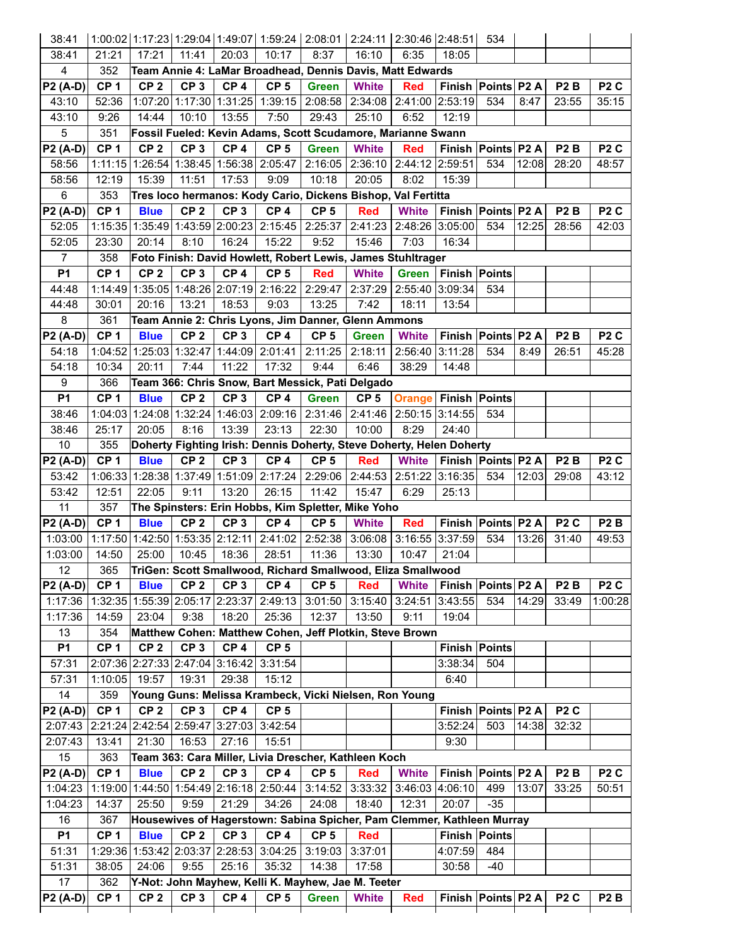| 38:41           |                 |                 |                                 |                 | 1:00:02 1:17:23 1:29:04 1:49:07 1:59:24 2:08:01 2:24:11 2:30:46 2:48:51 |                 |                   |                 |                      | 534                    |       |                  |                  |
|-----------------|-----------------|-----------------|---------------------------------|-----------------|-------------------------------------------------------------------------|-----------------|-------------------|-----------------|----------------------|------------------------|-------|------------------|------------------|
| 38:41           | 21:21           | 17:21           | 11:41                           | 20:03           | 10:17                                                                   | 8:37            | 16:10             | 6:35            | 18:05                |                        |       |                  |                  |
| 4               | 352             |                 |                                 |                 | Team Annie 4: LaMar Broadhead, Dennis Davis, Matt Edwards               |                 |                   |                 |                      |                        |       |                  |                  |
| <b>P2 (A-D)</b> | CP <sub>1</sub> | CP <sub>2</sub> | CP <sub>3</sub>                 | CP <sub>4</sub> | CP <sub>5</sub>                                                         | <b>Green</b>    | <b>White</b>      | <b>Red</b>      |                      | Finish Points P2 A     |       | P <sub>2</sub> B | P <sub>2</sub> C |
| 43:10           | 52:36           | 1:07:20         |                                 | 1:17:30 1:31:25 | 1:39:15                                                                 | 2:08:58         | 2:34:08           | 2:41:00 2:53:19 |                      | 534                    | 8:47  | 23:55            | 35:15            |
| 43:10           | 9:26            | 14:44           | 10:10                           | 13:55           | 7:50                                                                    | 29:43           | 25:10             | 6:52            | 12:19                |                        |       |                  |                  |
| 5               | 351             |                 |                                 |                 | Fossil Fueled: Kevin Adams, Scott Scudamore, Marianne Swann             |                 |                   |                 |                      |                        |       |                  |                  |
| <b>P2 (A-D)</b> | CP <sub>1</sub> | CP <sub>2</sub> | CP <sub>3</sub>                 | CP <sub>4</sub> | CP <sub>5</sub>                                                         | <b>Green</b>    | <b>White</b>      | <b>Red</b>      | <b>Finish</b>        | Points P2 A            |       | P <sub>2</sub> B | P <sub>2</sub> C |
| 58:56           | 1:11:15         |                 |                                 |                 | 1:26:54 1:38:45 1:56:38 2:05:47                                         | 2:16:05         | 2:36:10           | 2:44:12 2:59:51 |                      | 534                    | 12:08 | 28:20            | 48:57            |
| 58:56           | 12:19           | 15:39           | 11:51                           | 17:53           | 9:09                                                                    | 10:18           | 20:05             | 8:02            | 15:39                |                        |       |                  |                  |
| 6               | 353             |                 |                                 |                 | Tres loco hermanos: Kody Cario, Dickens Bishop, Val Fertitta            |                 |                   |                 |                      |                        |       |                  |                  |
| P2 (A-D)        | CP <sub>1</sub> | <b>Blue</b>     | CP <sub>2</sub>                 | CP <sub>3</sub> | CP <sub>4</sub>                                                         | CP <sub>5</sub> | <b>Red</b>        | <b>White</b>    |                      | Finish Points P2 A     |       | P <sub>2</sub> B | P <sub>2</sub> C |
| 52:05           |                 |                 | 1:15:35 1:35:49 1:43:59 2:00:23 |                 | 2:15:45                                                                 | 2:25:37         | 2:41:23           | 2:48:26 3:05:00 |                      | 534                    | 12:25 | 28:56            | 42:03            |
| 52:05           | 23:30           | 20:14           | 8:10                            | 16:24           | 15:22                                                                   | 9:52            | 15:46             | 7:03            | 16:34                |                        |       |                  |                  |
| $\overline{7}$  | 358             |                 |                                 |                 | Foto Finish: David Howlett, Robert Lewis, James Stuhltrager             |                 |                   |                 |                      |                        |       |                  |                  |
| <b>P1</b>       | CP <sub>1</sub> | CP <sub>2</sub> | CP <sub>3</sub>                 | CP <sub>4</sub> | CP <sub>5</sub>                                                         | <b>Red</b>      | <b>White</b>      | <b>Green</b>    | Finish Points        |                        |       |                  |                  |
| 44:48           |                 |                 |                                 |                 | 1:14:49 1:35:05 1:48:26 2:07:19 2:16:22                                 | 2:29:47         | 2:37:29           | 2:55:40 3:09:34 |                      | 534                    |       |                  |                  |
| 44:48           | 30:01           | 20:16           | 13:21                           | 18:53           | 9:03                                                                    | 13:25           | 7:42              | 18:11           | 13:54                |                        |       |                  |                  |
| 8               | 361             |                 |                                 |                 | Team Annie 2: Chris Lyons, Jim Danner, Glenn Ammons                     |                 |                   |                 |                      |                        |       |                  |                  |
| P2 (A-D)        | CP <sub>1</sub> | <b>Blue</b>     | CP <sub>2</sub>                 | CP <sub>3</sub> | CP <sub>4</sub>                                                         | CP <sub>5</sub> | <b>Green</b>      | <b>White</b>    |                      | Finish Points P2 A     |       | P <sub>2</sub> B | P <sub>2</sub> C |
| 54:18           | 1:04:52         |                 | 1:25:03 1:32:47 1:44:09         |                 | 2:01:41                                                                 | 2:11:25         | 2:18:11           | 2:56:40         | 3:11:28              | 534                    | 8:49  | 26:51            | 45:28            |
| 54:18           | 10:34           | 20:11           | 7:44                            | 11:22           | 17:32                                                                   | 9:44            | 6:46              | 38:29           | 14:48                |                        |       |                  |                  |
| 9               | 366             |                 |                                 |                 | Team 366: Chris Snow, Bart Messick, Pati Delgado                        |                 |                   |                 |                      |                        |       |                  |                  |
| <b>P1</b>       | CP <sub>1</sub> | <b>Blue</b>     | CP <sub>2</sub>                 | CP <sub>3</sub> | CP <sub>4</sub>                                                         | <b>Green</b>    | CP <sub>5</sub>   | <b>Orange</b>   | <b>Finish Points</b> |                        |       |                  |                  |
| 38:46           |                 |                 |                                 |                 | 1:04:03 1:24:08 1:32:24 1:46:03 2:09:16                                 | 2:31:46         | 2:41:46           | 2:50:15 3:14:55 |                      | 534                    |       |                  |                  |
| 38:46           | 25:17           | 20:05           | 8:16                            | 13:39           | 23:13                                                                   | 22:30           | 10:00             | 8:29            | 24:40                |                        |       |                  |                  |
| 10              | 355             |                 |                                 |                 | Doherty Fighting Irish: Dennis Doherty, Steve Doherty, Helen Doherty    |                 |                   |                 |                      |                        |       |                  |                  |
| <b>P2 (A-D)</b> | CP <sub>1</sub> | <b>Blue</b>     | CP <sub>2</sub>                 | CP <sub>3</sub> | CP <sub>4</sub>                                                         | CP <sub>5</sub> | <b>Red</b>        | <b>White</b>    | Finish Points P2 A   |                        |       | P <sub>2</sub> B | P <sub>2</sub> C |
| 53:42           |                 |                 | 1:06:33 1:28:38 1:37:49 1:51:09 |                 | 2:17:24                                                                 | 2:29:06         | 2:44:53           | 2:51:22 3:16:35 |                      | 534                    | 12:03 | 29:08            | 43:12            |
| 53:42           | 12:51           | 22:05           | 9:11                            | 13:20           | 26:15                                                                   | 11:42           | 15:47             | 6:29            | 25:13                |                        |       |                  |                  |
| 11              | 357             |                 |                                 |                 | The Spinsters: Erin Hobbs, Kim Spletter, Mike Yoho                      |                 |                   |                 |                      |                        |       |                  |                  |
| P2 (A-D)        | CP <sub>1</sub> | <b>Blue</b>     | CP <sub>2</sub>                 | CP <sub>3</sub> | CP <sub>4</sub>                                                         | CP <sub>5</sub> | <b>White</b>      | <b>Red</b>      |                      | Finish Points P2 A     |       | P <sub>2</sub> C | P <sub>2</sub> B |
| 1:03:00         | 1:17:50         |                 |                                 |                 | $1:42:50$   1:53:35   2:12:11   2:41:02                                 | 2:52:38         | 3:06:08           | 3:16:55 3:37:59 |                      | 534                    | 13:26 | 31:40            | 49:53            |
| 1:03:00         | 14:50           | 25:00           | 10:45                           | 18:36           | 28:51                                                                   | 11:36           | 13:30             | 10:47           | 21:04                |                        |       |                  |                  |
| 12              | 365             |                 |                                 |                 | TriGen: Scott Smallwood, Richard Smallwood, Eliza Smallwood             |                 |                   |                 |                      |                        |       |                  |                  |
| <b>P2 (A-D)</b> | CP <sub>1</sub> | <b>Blue</b>     | CP <sub>2</sub>                 | CP <sub>3</sub> | CP <sub>4</sub>                                                         | CP <sub>5</sub> | <b>Red</b>        | <b>White</b>    |                      | Finish   Points   P2 A |       | P <sub>2</sub> B | P <sub>2</sub> C |
| 1:17:36         |                 |                 | 1:32:35 1:55:39 2:05:17 2:23:37 |                 | 2:49:13                                                                 |                 | $3:01:50$ 3:15:40 | 3:24:51 3:43:55 |                      | 534                    | 14:29 | 33:49            | 1:00:28          |
| 1:17:36         | 14:59           | 23:04           | 9:38                            | 18:20           | 25:36                                                                   | 12:37           | 13:50             | 9:11            | 19:04                |                        |       |                  |                  |
| 13              | 354             |                 |                                 |                 | Matthew Cohen: Matthew Cohen, Jeff Plotkin, Steve Brown                 |                 |                   |                 |                      |                        |       |                  |                  |
| <b>P1</b>       | CP <sub>1</sub> | CP <sub>2</sub> | CP <sub>3</sub>                 | CP <sub>4</sub> | CP <sub>5</sub>                                                         |                 |                   |                 |                      | <b>Finish Points</b>   |       |                  |                  |
| 57:31           |                 |                 | 2:07:36 2:27:33 2:47:04 3:16:42 |                 | 3:31:54                                                                 |                 |                   |                 | 3:38:34              | 504                    |       |                  |                  |
| 57:31           | 1:10:05         | 19:57           | 19:31                           | 29:38           | 15:12                                                                   |                 |                   |                 | 6:40                 |                        |       |                  |                  |
| 14              | 359             |                 |                                 |                 | Young Guns: Melissa Krambeck, Vicki Nielsen, Ron Young                  |                 |                   |                 |                      |                        |       |                  |                  |
| <b>P2 (A-D)</b> | CP <sub>1</sub> | CP <sub>2</sub> | CP <sub>3</sub>                 | CP <sub>4</sub> | CP <sub>5</sub>                                                         |                 |                   |                 |                      | Finish Points P2 A     |       | P <sub>2</sub> C |                  |
| 2:07:43         |                 |                 | 2:21:24 2:42:54 2:59:47 3:27:03 |                 | 3:42:54                                                                 |                 |                   |                 | 3:52:24              | 503                    | 14:38 | 32:32            |                  |
| 2:07:43         | 13:41           | 21:30           | 16:53                           | 27:16           | 15:51                                                                   |                 |                   |                 | 9:30                 |                        |       |                  |                  |
| 15              | 363             |                 |                                 |                 | Team 363: Cara Miller, Livia Drescher, Kathleen Koch                    |                 |                   |                 |                      |                        |       |                  |                  |
| P2 (A-D)        | CP <sub>1</sub> | <b>Blue</b>     | CP <sub>2</sub>                 | CP <sub>3</sub> | CP <sub>4</sub>                                                         | CP <sub>5</sub> | <b>Red</b>        | <b>White</b>    |                      | Finish Points P2 A     |       | P <sub>2</sub> B | P <sub>2</sub> C |
| 1:04:23         |                 |                 |                                 |                 | 1:19:00 1:44:50 1:54:49 2:16:18 2:50:44                                 | 3:14:52         | 3:33:32           | 3:46:03 4:06:10 |                      | 499                    | 13:07 | 33:25            | 50:51            |
| 1:04:23         | 14:37           | 25:50           | 9:59                            | 21:29           | 34:26                                                                   | 24:08           | 18:40             | 12:31           | 20:07                | $-35$                  |       |                  |                  |
| 16              | 367             |                 |                                 |                 | Housewives of Hagerstown: Sabina Spicher, Pam Clemmer, Kathleen Murray  |                 |                   |                 |                      |                        |       |                  |                  |
| <b>P1</b>       | CP <sub>1</sub> | <b>Blue</b>     | CP <sub>2</sub>                 | CP <sub>3</sub> | CP <sub>4</sub>                                                         | CP <sub>5</sub> | <b>Red</b>        |                 |                      | <b>Finish Points</b>   |       |                  |                  |
| 51:31           |                 |                 | 1:29:36 1:53:42 2:03:37 2:28:53 |                 | 3:04:25                                                                 | 3:19:03         | 3:37:01           |                 | 4:07:59              | 484                    |       |                  |                  |
| 51:31           | 38:05           | 24:06           | 9:55                            | 25:16           | 35:32                                                                   | 14:38           | 17:58             |                 | 30:58                | -40                    |       |                  |                  |
| 17              | 362             |                 |                                 |                 | Y-Not: John Mayhew, Kelli K. Mayhew, Jae M. Teeter                      |                 |                   |                 |                      |                        |       |                  |                  |
| <b>P2 (A-D)</b> | CP <sub>1</sub> | CP <sub>2</sub> | CP <sub>3</sub>                 | CP <sub>4</sub> | CP <sub>5</sub>                                                         | <b>Green</b>    | <b>White</b>      | <b>Red</b>      |                      | Finish   Points   P2 A |       | P <sub>2</sub> C | P <sub>2</sub> B |
|                 |                 |                 |                                 |                 |                                                                         |                 |                   |                 |                      |                        |       |                  |                  |